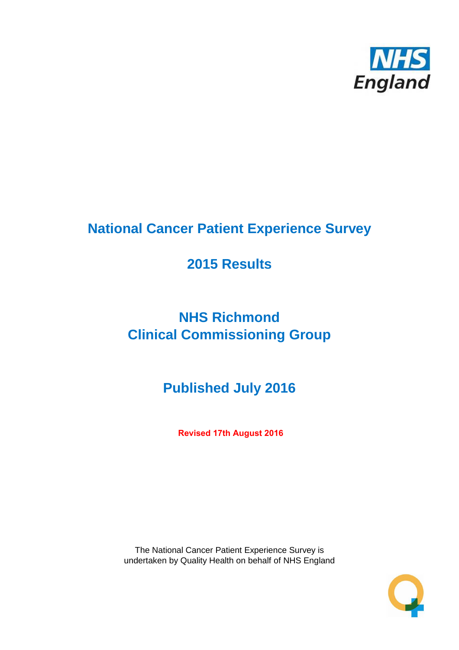

# **National Cancer Patient Experience Survey**

## **2015 Results**

# **NHS Richmond Clinical Commissioning Group**

# **Published July 2016**

**Revised 17th August 2016**

The National Cancer Patient Experience Survey is undertaken by Quality Health on behalf of NHS England

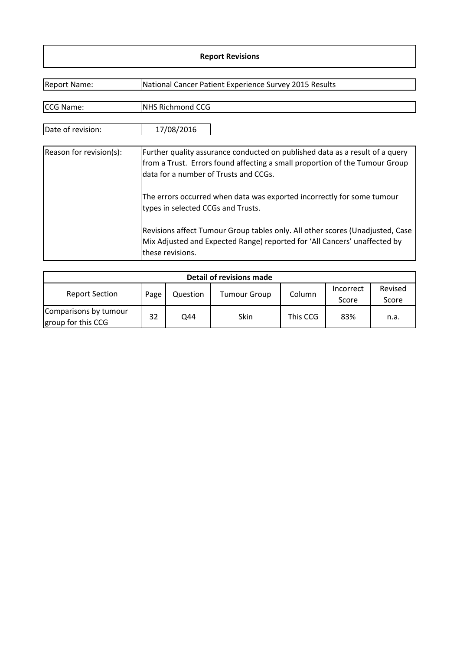#### **Report Revisions**

| <b>Report Name:</b>     | National Cancer Patient Experience Survey 2015 Results                                                                                                                                               |
|-------------------------|------------------------------------------------------------------------------------------------------------------------------------------------------------------------------------------------------|
|                         |                                                                                                                                                                                                      |
| CCG Name:               | <b>NHS Richmond CCG</b>                                                                                                                                                                              |
| Date of revision:       | 17/08/2016                                                                                                                                                                                           |
| Reason for revision(s): | Further quality assurance conducted on published data as a result of a query<br>from a Trust. Errors found affecting a small proportion of the Tumour Group<br>data for a number of Trusts and CCGs. |
|                         | The errors occurred when data was exported incorrectly for some tumour<br>types in selected CCGs and Trusts.                                                                                         |
|                         | Revisions affect Tumour Group tables only. All other scores (Unadjusted, Case<br>Mix Adjusted and Expected Range) reported for 'All Cancers' unaffected by<br>these revisions.                       |

| Detail of revisions made                    |      |          |                     |          |                    |                  |  |  |  |  |
|---------------------------------------------|------|----------|---------------------|----------|--------------------|------------------|--|--|--|--|
| <b>Report Section</b>                       | Page | Question | <b>Tumour Group</b> | Column   | Incorrect<br>Score | Revised<br>Score |  |  |  |  |
| Comparisons by tumour<br>group for this CCG | 32   | Q44      | Skin                | This CCG | 83%                | n.a.             |  |  |  |  |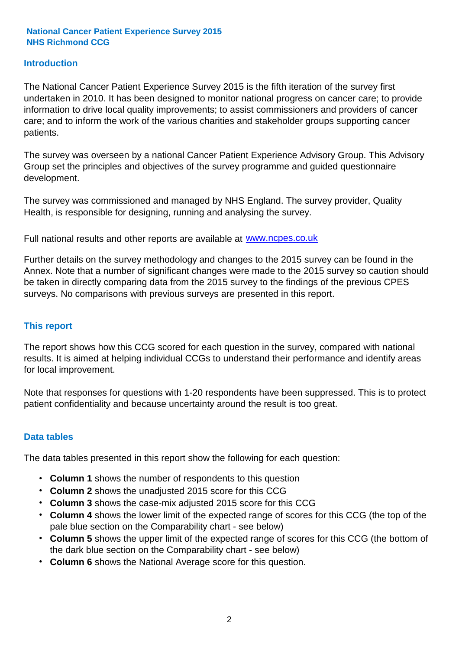#### **Introduction**

The National Cancer Patient Experience Survey 2015 is the fifth iteration of the survey first undertaken in 2010. It has been designed to monitor national progress on cancer care; to provide information to drive local quality improvements; to assist commissioners and providers of cancer care; and to inform the work of the various charities and stakeholder groups supporting cancer patients.

The survey was overseen by a national Cancer Patient Experience Advisory Group. This Advisory Group set the principles and objectives of the survey programme and guided questionnaire development.

The survey was commissioned and managed by NHS England. The survey provider, Quality Health, is responsible for designing, running and analysing the survey.

Full national results and other reports are available at www.ncpes.co.uk

Further details on the survey methodology and changes to the 2015 survey can be found in the Annex. Note that a number of significant changes were made to the 2015 survey so caution should be taken in directly comparing data from the 2015 survey to the findings of the previous CPES surveys. No comparisons with previous surveys are presented in this report.

#### **This report**

The report shows how this CCG scored for each question in the survey, compared with national results. It is aimed at helping individual CCGs to understand their performance and identify areas for local improvement.

Note that responses for questions with 1-20 respondents have been suppressed. This is to protect patient confidentiality and because uncertainty around the result is too great.

#### **Data tables**

The data tables presented in this report show the following for each question:

- **Column 1** shows the number of respondents to this question
- **Column 2** shows the unadjusted 2015 score for this CCG
- **Column 3** shows the case-mix adjusted 2015 score for this CCG
- **Column 4** shows the lower limit of the expected range of scores for this CCG (the top of the pale blue section on the Comparability chart - see below)
- **Column 5** shows the upper limit of the expected range of scores for this CCG (the bottom of the dark blue section on the Comparability chart - see below)
- **Column 6** shows the National Average score for this question.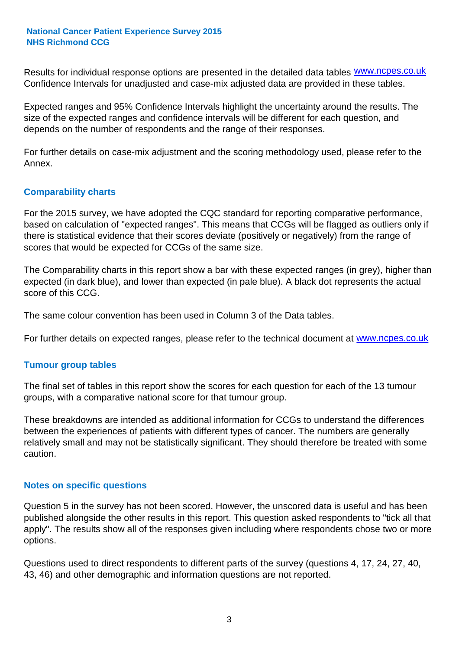Results for individual response options are presented in the detailed data tables **WWW.ncpes.co.uk** Confidence Intervals for unadjusted and case-mix adjusted data are provided in these tables.

Expected ranges and 95% Confidence Intervals highlight the uncertainty around the results. The size of the expected ranges and confidence intervals will be different for each question, and depends on the number of respondents and the range of their responses.

For further details on case-mix adjustment and the scoring methodology used, please refer to the Annex.

#### **Comparability charts**

For the 2015 survey, we have adopted the CQC standard for reporting comparative performance, based on calculation of "expected ranges". This means that CCGs will be flagged as outliers only if there is statistical evidence that their scores deviate (positively or negatively) from the range of scores that would be expected for CCGs of the same size.

The Comparability charts in this report show a bar with these expected ranges (in grey), higher than expected (in dark blue), and lower than expected (in pale blue). A black dot represents the actual score of this CCG.

The same colour convention has been used in Column 3 of the Data tables.

For further details on expected ranges, please refer to the technical document at **www.ncpes.co.uk** 

#### **Tumour group tables**

The final set of tables in this report show the scores for each question for each of the 13 tumour groups, with a comparative national score for that tumour group.

These breakdowns are intended as additional information for CCGs to understand the differences between the experiences of patients with different types of cancer. The numbers are generally relatively small and may not be statistically significant. They should therefore be treated with some caution.

#### **Notes on specific questions**

Question 5 in the survey has not been scored. However, the unscored data is useful and has been published alongside the other results in this report. This question asked respondents to "tick all that apply". The results show all of the responses given including where respondents chose two or more options.

Questions used to direct respondents to different parts of the survey (questions 4, 17, 24, 27, 40, 43, 46) and other demographic and information questions are not reported.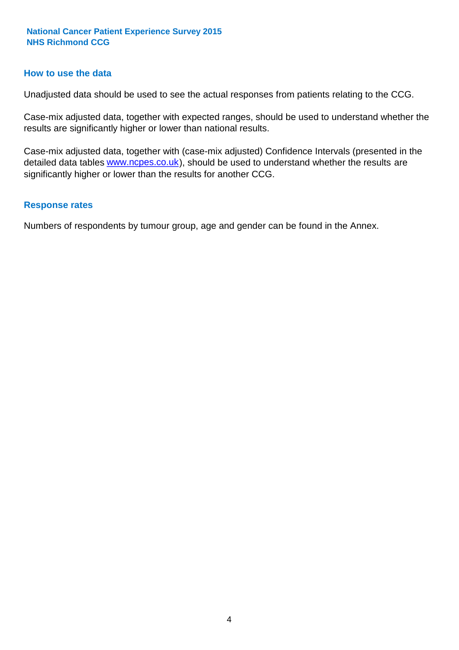#### **How to use the data**

Unadjusted data should be used to see the actual responses from patients relating to the CCG.

Case-mix adjusted data, together with expected ranges, should be used to understand whether the results are significantly higher or lower than national results.

Case-mix adjusted data, together with (case-mix adjusted) Confidence Intervals (presented in the detailed data tables **www.ncpes.co.uk**), should be used to understand whether the results are significantly higher or lower than the results for another CCG.

#### **Response rates**

Numbers of respondents by tumour group, age and gender can be found in the Annex.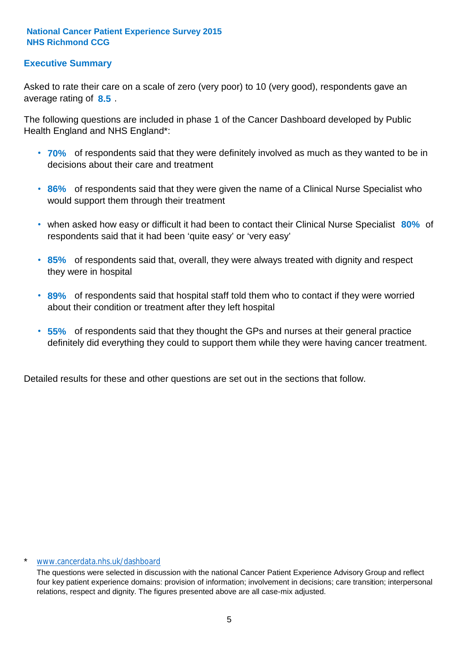#### **Executive Summary**

average rating of 8.5. Asked to rate their care on a scale of zero (very poor) to 10 (very good), respondents gave an

The following questions are included in phase 1 of the Cancer Dashboard developed by Public Health England and NHS England\*:

- **70%** of respondents said that they were definitely involved as much as they wanted to be in decisions about their care and treatment
- **86%** of respondents said that they were given the name of a Clinical Nurse Specialist who would support them through their treatment
- when asked how easy or difficult it had been to contact their Clinical Nurse Specialist 80% of respondents said that it had been 'quite easy' or 'very easy'
- **85%** of respondents said that, overall, they were always treated with dignity and respect they were in hospital
- **89%** of respondents said that hospital staff told them who to contact if they were worried about their condition or treatment after they left hospital
- **55%** of respondents said that they thought the GPs and nurses at their general practice definitely did everything they could to support them while they were having cancer treatment.

Detailed results for these and other questions are set out in the sections that follow.

#### \* www.cancerdata.nhs.uk/dashboard

The questions were selected in discussion with the national Cancer Patient Experience Advisory Group and reflect four key patient experience domains: provision of information; involvement in decisions; care transition; interpersonal relations, respect and dignity. The figures presented above are all case-mix adjusted.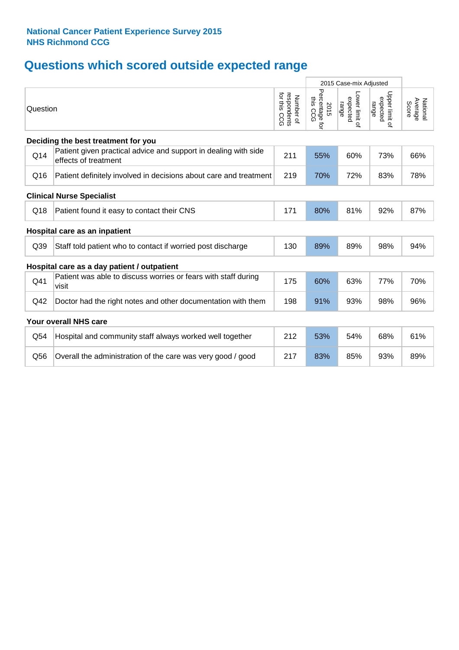## **Questions which scored outside expected range**

|          |                                                                                         |                                             | 2015 Case-mix Adjusted             |                                     |                                     |                              |
|----------|-----------------------------------------------------------------------------------------|---------------------------------------------|------------------------------------|-------------------------------------|-------------------------------------|------------------------------|
| Question |                                                                                         | for this<br>respondents<br>Number of<br>500 | Percentage for<br>this CCG<br>2015 | Lower limit of<br>expected<br>range | Upper limit of<br>expected<br>range | Average<br>National<br>Score |
|          | Deciding the best treatment for you                                                     |                                             |                                    |                                     |                                     |                              |
| Q14      | Patient given practical advice and support in dealing with side<br>effects of treatment | 211                                         | 55%                                | 60%                                 | 73%                                 | 66%                          |
| Q16      | Patient definitely involved in decisions about care and treatment                       | 219                                         | 70%                                | 72%                                 | 83%                                 | 78%                          |
|          | <b>Clinical Nurse Specialist</b>                                                        |                                             |                                    |                                     |                                     |                              |
| Q18      | Patient found it easy to contact their CNS                                              | 171                                         | 80%                                | 81%                                 | 92%                                 | 87%                          |
|          | Hospital care as an inpatient                                                           |                                             |                                    |                                     |                                     |                              |
| Q39      | Staff told patient who to contact if worried post discharge                             | 130                                         | 89%                                | 89%                                 | 98%                                 | 94%                          |
|          | Hospital care as a day patient / outpatient                                             |                                             |                                    |                                     |                                     |                              |
| Q41      | Patient was able to discuss worries or fears with staff during<br>visit                 | 175                                         | 60%                                | 63%                                 | 77%                                 | 70%                          |
| Q42      | Doctor had the right notes and other documentation with them                            | 198                                         | 91%                                | 93%                                 | 98%                                 | 96%                          |
|          | Your overall NHS care                                                                   |                                             |                                    |                                     |                                     |                              |
| Q54      | Hospital and community staff always worked well together                                | 212                                         | 53%                                | 54%                                 | 68%                                 | 61%                          |
| Q56      | Overall the administration of the care was very good / good                             | 217                                         | 83%                                | 85%                                 | 93%                                 | 89%                          |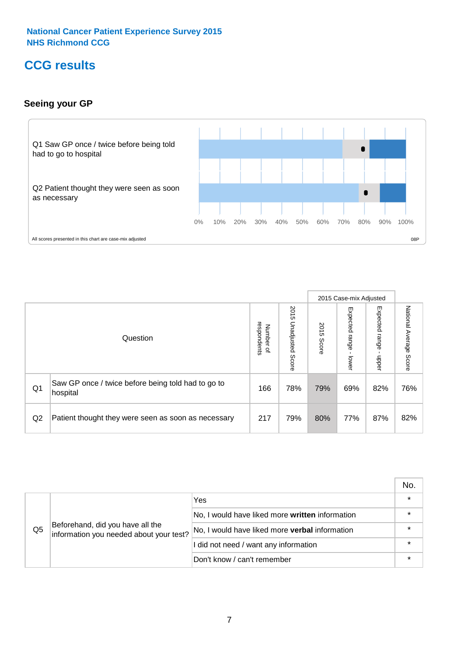### **CCG results**

#### **Seeing your GP**



|    |                                                                |                                         |                             |               | 2015 Case-mix Adjusted     |                            |                           |
|----|----------------------------------------------------------------|-----------------------------------------|-----------------------------|---------------|----------------------------|----------------------------|---------------------------|
|    | Question                                                       | respondents<br>Number<br>$\overline{a}$ | 2015<br>Unadjusted<br>Score | 2015<br>Score | Expected<br>range<br>lower | Expected<br>range<br>nbber | National Average<br>Score |
| Q1 | Saw GP once / twice before being told had to go to<br>hospital | 166                                     | 78%                         | 79%           | 69%                        | 82%                        | 76%                       |
| Q2 | Patient thought they were seen as soon as necessary            | 217                                     | 79%                         | 80%           | 77%                        | 87%                        | 82%                       |

|    |                                                                             |                                                 | No. |
|----|-----------------------------------------------------------------------------|-------------------------------------------------|-----|
|    |                                                                             | Yes                                             |     |
|    | Beforehand, did you have all the<br>information you needed about your test? | No, I would have liked more written information |     |
| Q5 |                                                                             | No, I would have liked more verbal information  |     |
|    |                                                                             | I did not need / want any information           |     |
|    |                                                                             | Don't know / can't remember                     |     |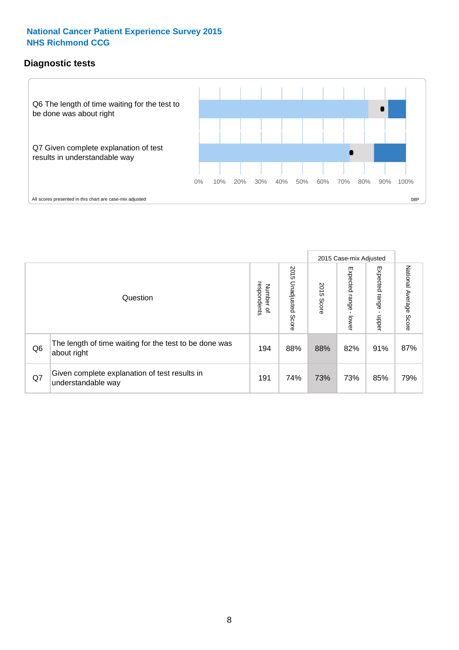#### **Diagnostic tests**



|                |                                                                       |                                   |                             |               | 2015 Case-mix Adjusted      |                         |                           |
|----------------|-----------------------------------------------------------------------|-----------------------------------|-----------------------------|---------------|-----------------------------|-------------------------|---------------------------|
|                | Question                                                              | respondents<br>Number<br>$\Omega$ | 2015<br>Unadjusted<br>Score | 2015<br>Score | Expected<br> range<br>lower | Expected range<br>nbber | National Average<br>Score |
| Q <sub>6</sub> | The length of time waiting for the test to be done was<br>about right | 194                               | 88%                         | 88%           | 82%                         | 91%                     | 87%                       |
| Q7             | Given complete explanation of test results in<br>understandable way   | 191                               | 74%                         | 73%           | 73%                         | 85%                     | 79%                       |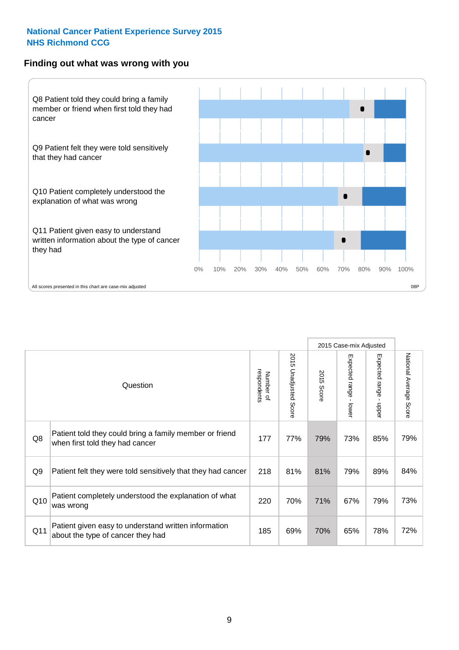#### **Finding out what was wrong with you**



|                |                                                                                            |                          |                       |               | 2015 Case-mix Adjusted      |                                         |                                  |
|----------------|--------------------------------------------------------------------------------------------|--------------------------|-----------------------|---------------|-----------------------------|-----------------------------------------|----------------------------------|
|                | Question                                                                                   | respondents<br>Number of | 2015 Unadjusted Score | 2015<br>Score | Expected range -<br>- lower | Expected range<br>$\mathbf{r}$<br>nbber | National Average<br><b>Score</b> |
| Q8             | Patient told they could bring a family member or friend<br>when first told they had cancer | 177                      | 77%                   | 79%           | 73%                         | 85%                                     | 79%                              |
| Q <sub>9</sub> | Patient felt they were told sensitively that they had cancer                               | 218                      | 81%                   | 81%           | 79%                         | 89%                                     | 84%                              |
| Q10            | Patient completely understood the explanation of what<br>was wrong                         | 220                      | 70%                   | 71%           | 67%                         | 79%                                     | 73%                              |
| Q11            | Patient given easy to understand written information<br>about the type of cancer they had  | 185                      | 69%                   | 70%           | 65%                         | 78%                                     | 72%                              |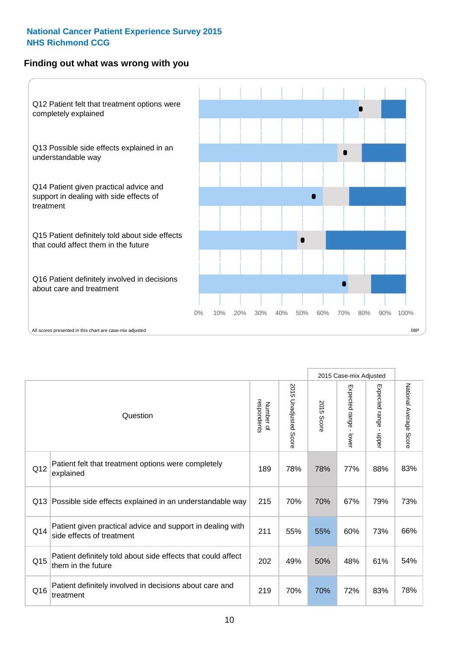#### **Finding out what was wrong with you**



|          |                                                                                         |                          |                          |               | 2015 Case-mix Adjusted                  |                        |                        |
|----------|-----------------------------------------------------------------------------------------|--------------------------|--------------------------|---------------|-----------------------------------------|------------------------|------------------------|
| Question |                                                                                         | respondents<br>Number of | 2015<br>Unadjusted Score | 2015<br>Score | Expected range<br>$\mathbf{r}$<br>lower | Expected range - upper | National Average Score |
| Q12      | Patient felt that treatment options were completely<br>explained                        | 189                      | 78%                      | 78%           | 77%                                     | 88%                    | 83%                    |
| Q13      | Possible side effects explained in an understandable way                                | 215                      | 70%                      | 70%           | 67%                                     | 79%                    | 73%                    |
| Q14      | Patient given practical advice and support in dealing with<br>side effects of treatment | 211                      | 55%                      | 55%           | 60%                                     | 73%                    | 66%                    |
| Q15      | Patient definitely told about side effects that could affect<br>them in the future      | 202                      | 49%                      | 50%           | 48%                                     | 61%                    | 54%                    |
| Q16      | Patient definitely involved in decisions about care and<br>treatment                    | 219                      | 70%                      | 70%           | 72%                                     | 83%                    | 78%                    |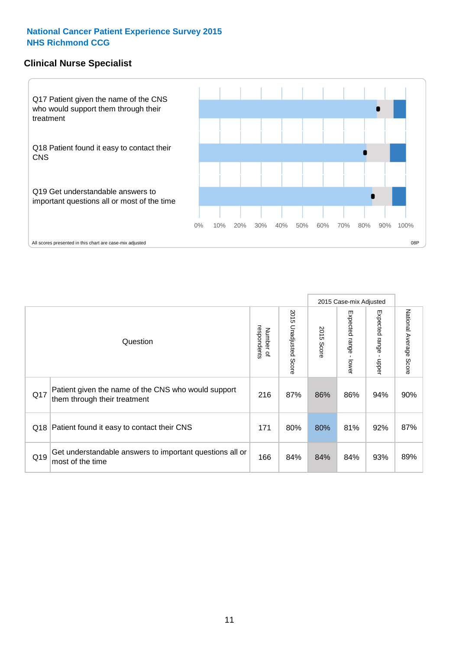#### **Clinical Nurse Specialist**



|     |                                                                                     |                          |                       |               | 2015 Case-mix Adjusted  |                         |                        |
|-----|-------------------------------------------------------------------------------------|--------------------------|-----------------------|---------------|-------------------------|-------------------------|------------------------|
|     | Question                                                                            | respondents<br>Number of | 2015 Unadjusted Score | 2015<br>Score | Expected range<br>lower | Expected range<br>nbber | National Average Score |
| Q17 | Patient given the name of the CNS who would support<br>them through their treatment | 216                      | 87%                   | 86%           | 86%                     | 94%                     | 90%                    |
|     | Q18 Patient found it easy to contact their CNS                                      | 171                      | 80%                   | 80%           | 81%                     | 92%                     | 87%                    |
| Q19 | Get understandable answers to important questions all or<br>most of the time        | 166                      | 84%                   | 84%           | 84%                     | 93%                     | 89%                    |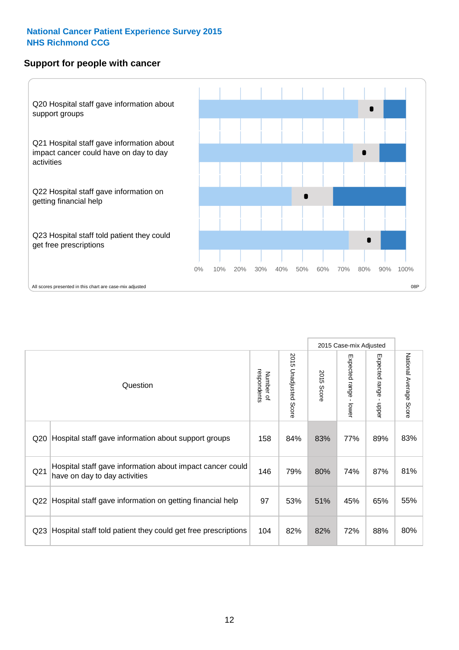#### **Support for people with cancer**



|                 |                                                                                            |                          |                             |               | 2015 Case-mix Adjusted  |                                           |                        |
|-----------------|--------------------------------------------------------------------------------------------|--------------------------|-----------------------------|---------------|-------------------------|-------------------------------------------|------------------------|
|                 | Question                                                                                   | respondents<br>Number of | 2015<br>Unadjusted<br>Score | 2015<br>Score | Expected range<br>lower | Expected range<br>$\blacksquare$<br>nbber | National Average Score |
| Q20             | Hospital staff gave information about support groups                                       | 158                      | 84%                         | 83%           | 77%                     | 89%                                       | 83%                    |
| Q <sub>21</sub> | Hospital staff gave information about impact cancer could<br>have on day to day activities | 146                      | 79%                         | 80%           | 74%                     | 87%                                       | 81%                    |
| Q22             | Hospital staff gave information on getting financial help                                  | 97                       | 53%                         | 51%           | 45%                     | 65%                                       | 55%                    |
| Q <sub>23</sub> | Hospital staff told patient they could get free prescriptions                              | 104                      | 82%                         | 82%           | 72%                     | 88%                                       | 80%                    |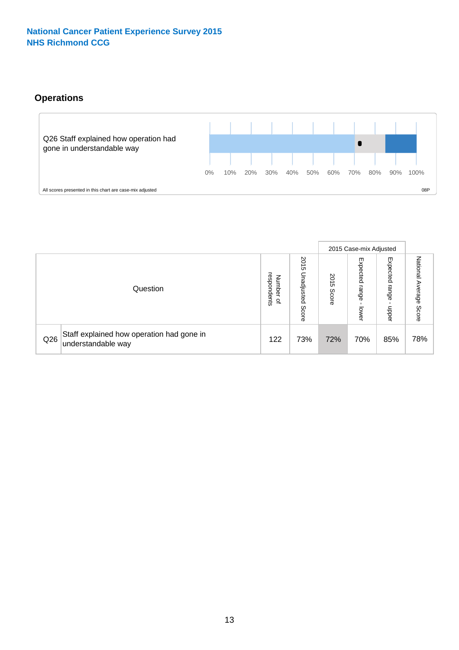#### **Operations**



|     |                                                                 |                                              |                             |                       | 2015 Case-mix Adjusted     |                            |                              |
|-----|-----------------------------------------------------------------|----------------------------------------------|-----------------------------|-----------------------|----------------------------|----------------------------|------------------------------|
|     | Question                                                        | respondents<br>Number<br>$\overline{\sigma}$ | 2015<br>Unadjusted<br>Score | 8<br>∸<br>CΠ<br>Score | Expected<br>range<br>lower | Expected<br>range<br>doper | National<br>Average<br>Score |
| Q26 | Staff explained how operation had gone in<br>understandable way | 122                                          | 73%                         | 72%                   | 70%                        | 85%                        | 78%                          |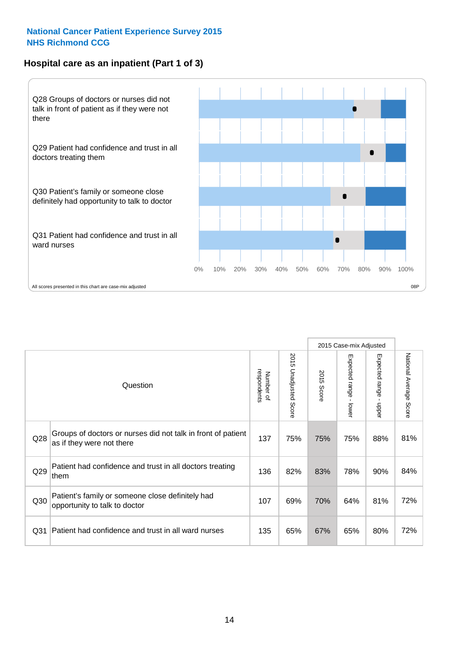#### **Hospital care as an inpatient (Part 1 of 3)**



All scores presented in this chart are case-mix adjusted  $08P$ 

|                 |                                                                                           | 2015 Case-mix Adjusted   |                       |                      |                                         |                                           |                        |
|-----------------|-------------------------------------------------------------------------------------------|--------------------------|-----------------------|----------------------|-----------------------------------------|-------------------------------------------|------------------------|
|                 | Question                                                                                  | respondents<br>Number of | 2015 Unadjusted Score | 2015<br><b>Score</b> | Expected range<br>$\mathbf{r}$<br>lower | Expected range<br>$\blacksquare$<br>nbber | National Average Score |
| Q28             | Groups of doctors or nurses did not talk in front of patient<br>as if they were not there | 137                      | 75%                   | 75%                  | 75%                                     | 88%                                       | 81%                    |
| Q29             | Patient had confidence and trust in all doctors treating<br>them                          | 136                      | 82%                   | 83%                  | 78%                                     | 90%                                       | 84%                    |
| Q30             | Patient's family or someone close definitely had<br>opportunity to talk to doctor         | 107                      | 69%                   | 70%                  | 64%                                     | 81%                                       | 72%                    |
| Q <sub>31</sub> | Patient had confidence and trust in all ward nurses                                       | 135                      | 65%                   | 67%                  | 65%                                     | 80%                                       | 72%                    |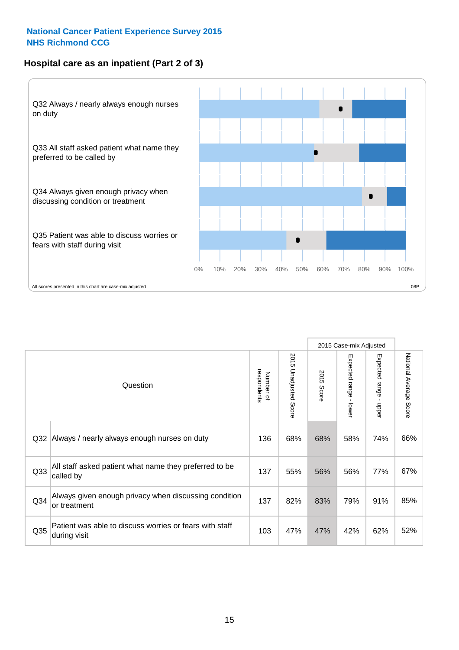#### **Hospital care as an inpatient (Part 2 of 3)**



|                 |                                                                         |                          |                                 |               | 2015 Case-mix Adjusted  |                        |                        |
|-----------------|-------------------------------------------------------------------------|--------------------------|---------------------------------|---------------|-------------------------|------------------------|------------------------|
|                 | Question                                                                | respondents<br>Number of | 2015<br><b>Unadjusted Score</b> | 2015<br>Score | Expected range<br>lower | Expected range - upper | National Average Score |
| Q32             | Always / nearly always enough nurses on duty                            | 136                      | 68%                             | 68%           | 58%                     | 74%                    | 66%                    |
| Q33             | All staff asked patient what name they preferred to be<br>called by     | 137                      | 55%                             | 56%           | 56%                     | 77%                    | 67%                    |
| Q34             | Always given enough privacy when discussing condition<br>or treatment   | 137                      | 82%                             | 83%           | 79%                     | 91%                    | 85%                    |
| Q <sub>35</sub> | Patient was able to discuss worries or fears with staff<br>during visit | 103                      | 47%                             | 47%           | 42%                     | 62%                    | 52%                    |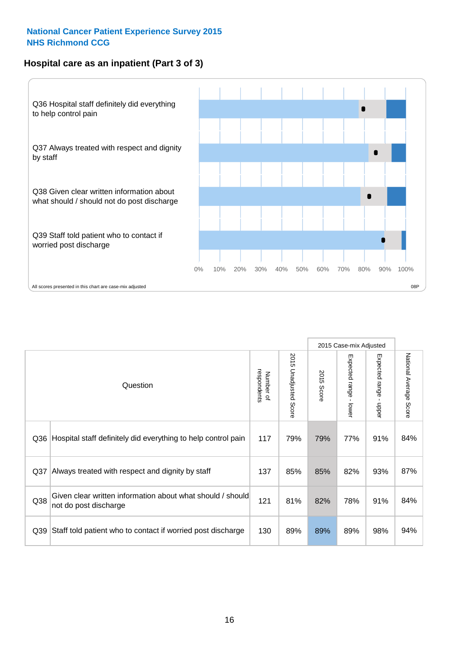#### **Hospital care as an inpatient (Part 3 of 3)**



|     |                                                                                     |                          |                                 |                      | 2015 Case-mix Adjusted                    |                           |                        |
|-----|-------------------------------------------------------------------------------------|--------------------------|---------------------------------|----------------------|-------------------------------------------|---------------------------|------------------------|
|     | Question                                                                            | respondents<br>Number of | 2015<br><b>Unadjusted Score</b> | 2015<br><b>Score</b> | Expected range<br>$\blacksquare$<br>lower | Expected range -<br>nbber | National Average Score |
| Q36 | Hospital staff definitely did everything to help control pain                       | 117                      | 79%                             | 79%                  | 77%                                       | 91%                       | 84%                    |
| Q37 | Always treated with respect and dignity by staff                                    |                          | 85%                             | 85%                  | 82%                                       | 93%                       | 87%                    |
| Q38 | Given clear written information about what should / should<br>not do post discharge | 121                      | 81%                             | 82%                  | 78%                                       | 91%                       | 84%                    |
| Q39 | Staff told patient who to contact if worried post discharge                         | 130                      | 89%                             | 89%                  | 89%                                       | 98%                       | 94%                    |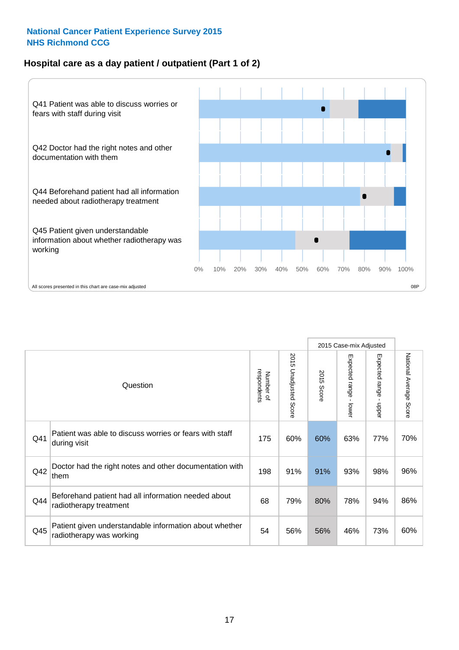#### **Hospital care as a day patient / outpatient (Part 1 of 2)**



|          |                                                                                    |     |                                 | 2015 Case-mix Adjusted |                                         |                                         |                        |
|----------|------------------------------------------------------------------------------------|-----|---------------------------------|------------------------|-----------------------------------------|-----------------------------------------|------------------------|
| Question |                                                                                    |     | 2015<br><b>Unadjusted Score</b> | 2015<br><b>Score</b>   | Expected range<br>$\mathbf{I}$<br>lower | Expected range<br>$\mathbf{I}$<br>nbber | National Average Score |
| Q41      | Patient was able to discuss worries or fears with staff<br>during visit            | 175 | 60%                             | 60%                    | 63%                                     | 77%                                     | 70%                    |
| Q42      | Doctor had the right notes and other documentation with<br>them                    | 198 | 91%                             | 91%                    | 93%                                     | 98%                                     | 96%                    |
| Q44      | Beforehand patient had all information needed about<br>radiotherapy treatment      | 68  | 79%                             | 80%                    | 78%                                     | 94%                                     | 86%                    |
| Q45      | Patient given understandable information about whether<br>radiotherapy was working | 54  | 56%                             | 56%                    | 46%                                     | 73%                                     | 60%                    |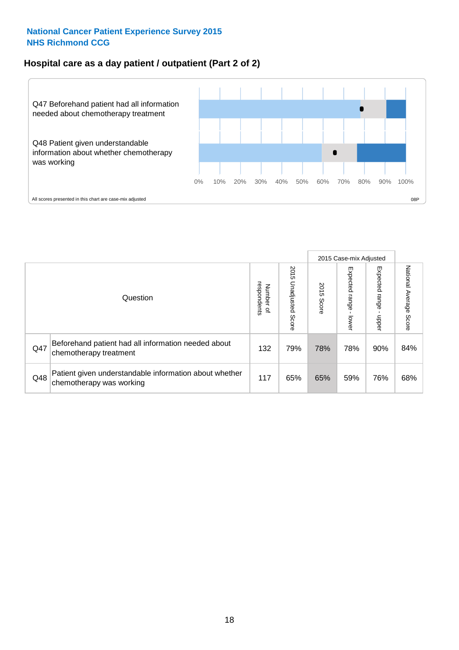#### **Hospital care as a day patient / outpatient (Part 2 of 2)**



|          |                                                                                    |     |                             | 2015 Case-mix Adjusted |                              |                         |                           |
|----------|------------------------------------------------------------------------------------|-----|-----------------------------|------------------------|------------------------------|-------------------------|---------------------------|
| Question |                                                                                    |     | 2015<br>Unadjusted<br>Score | 2015<br>Score          | Expected<br>I range<br>lower | Expected range<br>nbber | National Average<br>Score |
| Q47      | Beforehand patient had all information needed about<br>chemotherapy treatment      | 132 | 79%                         | 78%                    | 78%                          | 90%                     | 84%                       |
| Q48      | Patient given understandable information about whether<br>chemotherapy was working | 117 | 65%                         | 65%                    | 59%                          | 76%                     | 68%                       |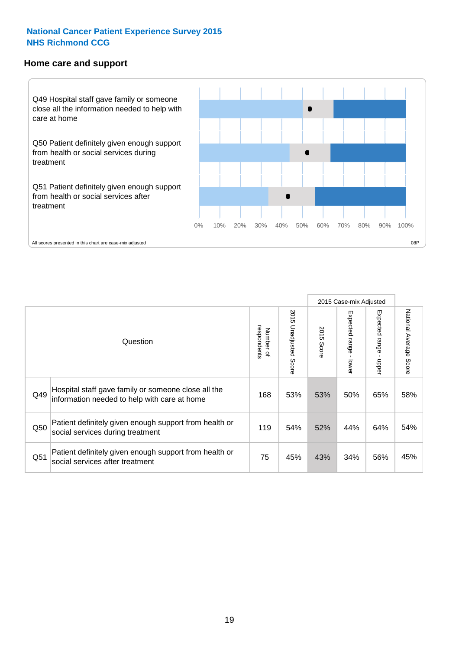#### **Home care and support**



2015 Case-mix Adjusted 2015 Unadjusted Score Expected range - upper National Average Score 2015 Unadjusted Score Expected range - lower National Average Score Expected range - lower Expected range - upper Number of<br>respondents 2015 Score respondents 2015 Score Number of Question Hospital staff gave family or someone close all the  $Q49$  information needed to help with care at home  $Q49$  |  $53\%$  |  $53\%$  |  $50\%$  |  $65\%$  |  $58\%$ Patient definitely given enough support from health or  $\frac{1050}{\text{social services during treatment}}$  119  $\left| \begin{array}{cc} 54\% & 52\% \\ 119 & 54\% \end{array} \right|$  44% 64% 54% Patient definitely given enough support from health or Q51 social services after treatment<br>
Q51 social services after treatment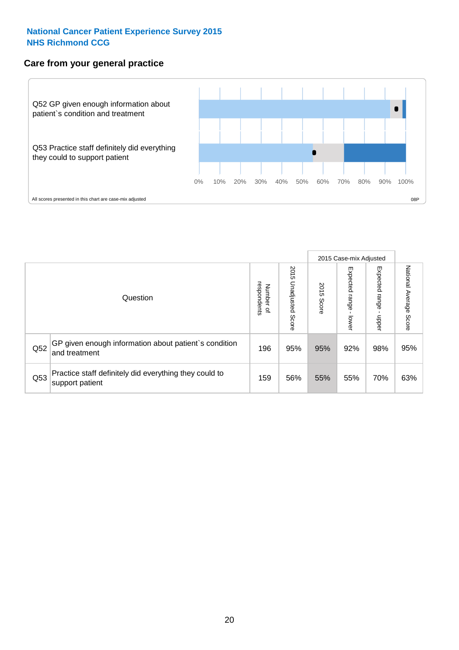#### **Care from your general practice**



|          |                                                                           |     |                             | 2015 Case-mix Adjusted |                                   |                            |                           |
|----------|---------------------------------------------------------------------------|-----|-----------------------------|------------------------|-----------------------------------|----------------------------|---------------------------|
| Question |                                                                           |     | 2015<br>Unadjusted<br>Score | 2015<br>Score          | Expected<br><b>Lange</b><br>lower | Expected<br>range<br>doper | National Average<br>Score |
| Q52      | GP given enough information about patient's condition<br>and treatment    | 196 | 95%                         | 95%                    | 92%                               | 98%                        | 95%                       |
| Q53      | Practice staff definitely did everything they could to<br>support patient | 159 | 56%                         | 55%                    | 55%                               | 70%                        | 63%                       |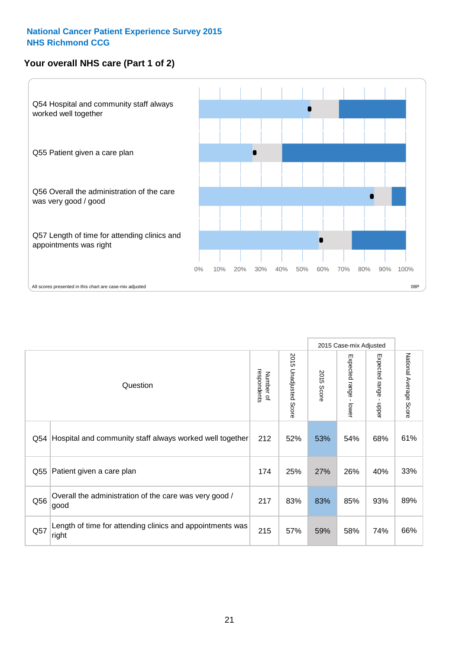#### **Your overall NHS care (Part 1 of 2)**



|     |                                                                    |                          |                          | 2015 Case-mix Adjusted |                                           |                                           |                        |
|-----|--------------------------------------------------------------------|--------------------------|--------------------------|------------------------|-------------------------------------------|-------------------------------------------|------------------------|
|     | Question                                                           | respondents<br>Number of | 2015<br>Unadjusted Score | 2015<br>Score          | Expected range<br>$\blacksquare$<br>lower | Expected range<br>$\blacksquare$<br>nbber | National Average Score |
| Q54 | Hospital and community staff always worked well together           | 212                      | 52%                      | 53%                    | 54%                                       | 68%                                       | 61%                    |
| Q55 | Patient given a care plan                                          | 174                      | 25%                      | 27%                    | 26%                                       | 40%                                       | 33%                    |
| Q56 | Overall the administration of the care was very good /<br>good     | 217                      | 83%                      | 83%                    | 85%                                       | 93%                                       | 89%                    |
| Q57 | Length of time for attending clinics and appointments was<br>right | 215                      | 57%                      | 59%                    | 58%                                       | 74%                                       | 66%                    |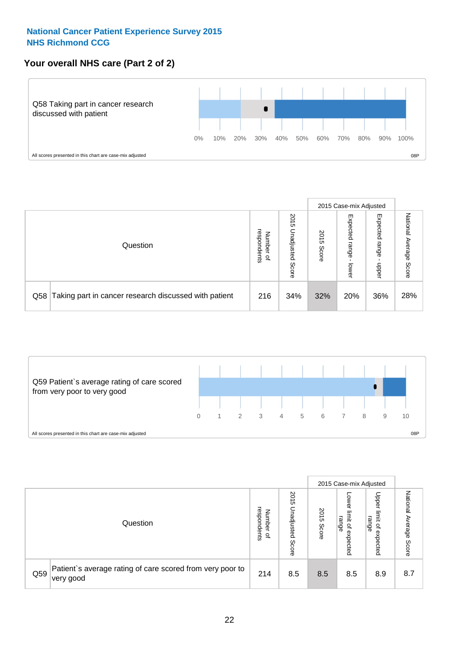#### **Your overall NHS care (Part 2 of 2)**



|          |                                                       | 2015 Case-mix Adjusted            |                             |               |                            |                            |                        |
|----------|-------------------------------------------------------|-----------------------------------|-----------------------------|---------------|----------------------------|----------------------------|------------------------|
| Question |                                                       | respondents<br>Number<br>$\Omega$ | 2015<br>Unadjusted<br>Score | 2015<br>Score | Expected<br>range<br>lower | Expected<br>range<br>nbber | National Average Score |
| Q58      | Taking part in cancer research discussed with patient | 216                               | 34%                         | 32%           | 20%                        | 36%                        | 28%                    |



|     |                                                                        |                                              |                             | 2015 Case-mix Adjusted |                                           |                                                                 |                              |
|-----|------------------------------------------------------------------------|----------------------------------------------|-----------------------------|------------------------|-------------------------------------------|-----------------------------------------------------------------|------------------------------|
|     | Question                                                               | respondents<br>Number<br>$\overline{\sigma}$ | 2015<br>Unadjusted<br>Score | 2015<br>Score          | OWer<br>limit<br>range<br>਼੍ਰ<br>expected | Upper<br>limit<br>range<br>$\overline{\mathcal{C}}$<br>expected | National<br>Average<br>Score |
| Q59 | Patient's average rating of care scored from very poor to<br>very good | 214                                          | 8.5                         | 8.5                    | 8.5                                       | 8.9                                                             | 8.7                          |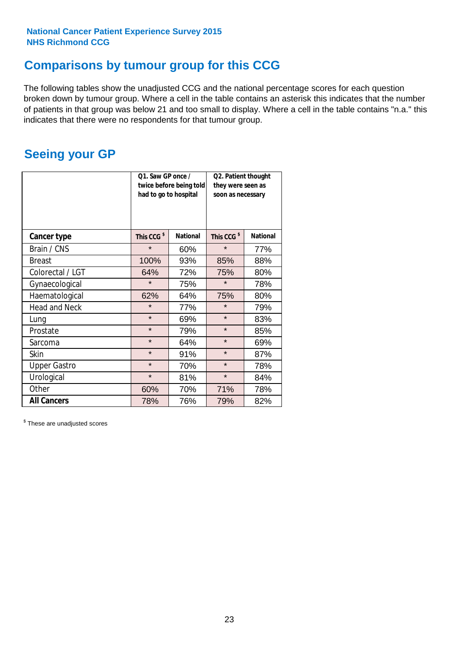### **Comparisons by tumour group for this CCG**

The following tables show the unadjusted CCG and the national percentage scores for each question broken down by tumour group. Where a cell in the table contains an asterisk this indicates that the number of patients in that group was below 21 and too small to display. Where a cell in the table contains "n.a." this indicates that there were no respondents for that tumour group.

### **Seeing your GP**

|                      | Q1. Saw GP once /<br>had to go to hospital | twice before being told | Q2. Patient thought<br>they were seen as<br>soon as necessary |                 |  |
|----------------------|--------------------------------------------|-------------------------|---------------------------------------------------------------|-----------------|--|
| <b>Cancer type</b>   | This CCG <sup>\$</sup>                     | <b>National</b>         | This CCG <sup>\$</sup>                                        | <b>National</b> |  |
| Brain / CNS          | $\star$                                    | 60%                     | $\star$                                                       | 77%             |  |
| <b>Breast</b>        | 100%                                       | 93%                     | 85%                                                           | 88%             |  |
| Colorectal / LGT     | 64%                                        | 72%                     |                                                               | 80%             |  |
| Gynaecological       | $\star$<br>75%                             |                         | $\star$                                                       | 78%             |  |
| Haematological       | 62%                                        | 64%                     |                                                               | 80%             |  |
| <b>Head and Neck</b> | $\star$                                    | 77%                     | $\star$                                                       | 79%             |  |
| Lung                 | $\star$                                    | 69%                     | $\star$                                                       | 83%             |  |
| Prostate             | $\star$                                    | 79%                     | $\star$                                                       | 85%             |  |
| Sarcoma              | $\star$                                    | 64%                     | $\star$                                                       | 69%             |  |
| <b>Skin</b>          | $\star$                                    | 91%                     | $\star$                                                       | 87%             |  |
| <b>Upper Gastro</b>  | $\star$                                    | 70%                     | $\star$                                                       | 78%             |  |
| Urological           | $\star$                                    | 81%                     | $\star$                                                       | 84%             |  |
| Other                | 60%                                        | 70%                     | 71%                                                           | 78%             |  |
| <b>All Cancers</b>   | 78%                                        | 76%                     | 79%                                                           | 82%             |  |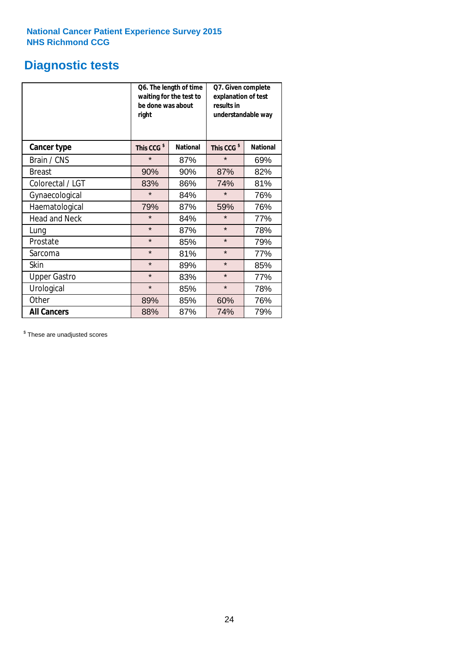### **Diagnostic tests**

|                      | be done was about<br>right | Q6. The length of time<br>waiting for the test to | Q7. Given complete<br>explanation of test<br>results in<br>understandable way |                 |  |  |
|----------------------|----------------------------|---------------------------------------------------|-------------------------------------------------------------------------------|-----------------|--|--|
| <b>Cancer type</b>   | This CCG <sup>\$</sup>     | <b>National</b>                                   | This CCG <sup>\$</sup>                                                        | <b>National</b> |  |  |
| Brain / CNS          | $\star$                    | 87%                                               | $\star$                                                                       | 69%             |  |  |
| <b>Breast</b>        | 90%                        | 90%                                               | 87%                                                                           | 82%             |  |  |
| Colorectal / LGT     | 83%                        | 86%                                               |                                                                               | 81%             |  |  |
| Gynaecological       | $\star$<br>84%             |                                                   | $\star$                                                                       | 76%             |  |  |
| Haematological       | 79%                        | 87%                                               | 59%                                                                           | 76%             |  |  |
| <b>Head and Neck</b> | $\star$                    | 84%                                               | $\star$                                                                       | 77%             |  |  |
| Lung                 | $\star$                    | 87%                                               | $\star$                                                                       | 78%             |  |  |
| Prostate             | $\star$                    | 85%                                               | $\star$                                                                       | 79%             |  |  |
| Sarcoma              | $\star$                    | 81%                                               | $\star$                                                                       | 77%             |  |  |
| <b>Skin</b>          | $\star$                    | 89%                                               | $\star$                                                                       | 85%             |  |  |
| <b>Upper Gastro</b>  | $\star$<br>83%             |                                                   | $\star$                                                                       | 77%             |  |  |
| Urological           | $\star$                    | 85%                                               | $\star$                                                                       | 78%             |  |  |
| Other                | 89%                        | 85%                                               | 60%                                                                           | 76%             |  |  |
| <b>All Cancers</b>   | 88%                        | 87%                                               | 74%                                                                           | 79%             |  |  |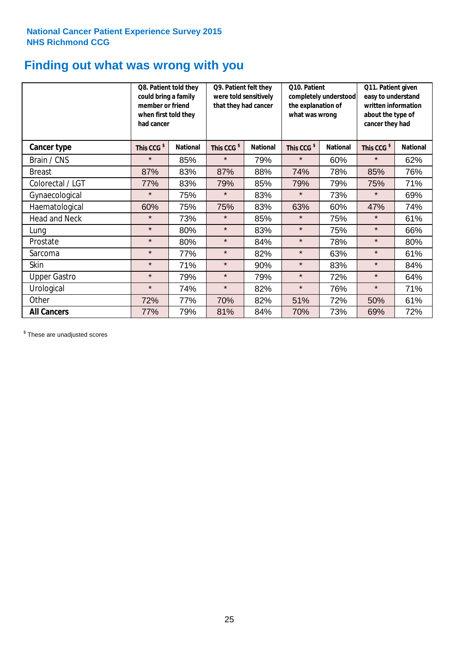### **Finding out what was wrong with you**

|                      | Q8. Patient told they<br>could bring a family<br>member or friend<br>when first told they<br>had cancer |                 | Q9. Patient felt they<br>were told sensitively<br>that they had cancer |                 | Q10. Patient<br>completely understood<br>the explanation of<br>what was wrong |                 | Q11. Patient given<br>easy to understand<br>written information<br>about the type of<br>cancer they had |                 |
|----------------------|---------------------------------------------------------------------------------------------------------|-----------------|------------------------------------------------------------------------|-----------------|-------------------------------------------------------------------------------|-----------------|---------------------------------------------------------------------------------------------------------|-----------------|
| Cancer type          | This CCG <sup>\$</sup>                                                                                  | <b>National</b> | This CCG <sup>\$</sup>                                                 | <b>National</b> | This CCG <sup>\$</sup>                                                        | <b>National</b> |                                                                                                         | <b>National</b> |
| Brain / CNS          | $\star$                                                                                                 | 85%             | $\star$                                                                | 79%             | $\star$                                                                       | 60%             | $\star$                                                                                                 | 62%             |
| <b>Breast</b>        | 87%                                                                                                     | 83%             | 87%                                                                    | 88%             | 74%                                                                           | 78%             | 85%                                                                                                     | 76%             |
| Colorectal / LGT     | 77%                                                                                                     | 83%             | 79%                                                                    | 85%             | 79%                                                                           | 79%             | 75%                                                                                                     | 71%             |
| Gynaecological       | $\star$                                                                                                 | 75%             | $\star$                                                                | 83%             | $\star$                                                                       | 73%             | $\star$                                                                                                 | 69%             |
| Haematological       | 60%                                                                                                     | 75%             | 75%                                                                    | 83%             | 63%                                                                           | 60%             | 47%                                                                                                     | 74%             |
| <b>Head and Neck</b> | $\star$                                                                                                 | 73%             | $\star$                                                                | 85%             | $\star$                                                                       | 75%             | $\star$                                                                                                 | 61%             |
| Lung                 | $\star$                                                                                                 | 80%             | $\star$                                                                | 83%             | $\star$                                                                       | 75%             | $\star$                                                                                                 | 66%             |
| Prostate             | $\star$                                                                                                 | 80%             | $\star$                                                                | 84%             | $\star$                                                                       | 78%             | $\star$                                                                                                 | 80%             |
| Sarcoma              | $\star$                                                                                                 | 77%             | $\star$                                                                | 82%             | $\star$                                                                       | 63%             | $\star$                                                                                                 | 61%             |
| Skin                 | $\star$                                                                                                 | 71%             | $\star$                                                                | 90%             | $\star$                                                                       | 83%             | $\star$                                                                                                 | 84%             |
| <b>Upper Gastro</b>  | $\star$                                                                                                 | 79%             | $\star$                                                                | 79%             | $\star$                                                                       | 72%             | $\star$                                                                                                 | 64%             |
| Urological           | $\star$                                                                                                 | 74%             | $\star$                                                                | 82%             | $\star$                                                                       | 76%             | $\star$                                                                                                 | 71%             |
| Other                | 72%                                                                                                     | 77%             | 70%                                                                    | 82%             | 51%                                                                           | 72%             | 50%                                                                                                     | 61%             |
| <b>All Cancers</b>   | 77%                                                                                                     | 79%             | 81%                                                                    | 84%             | 70%                                                                           | 73%             | 69%                                                                                                     | 72%             |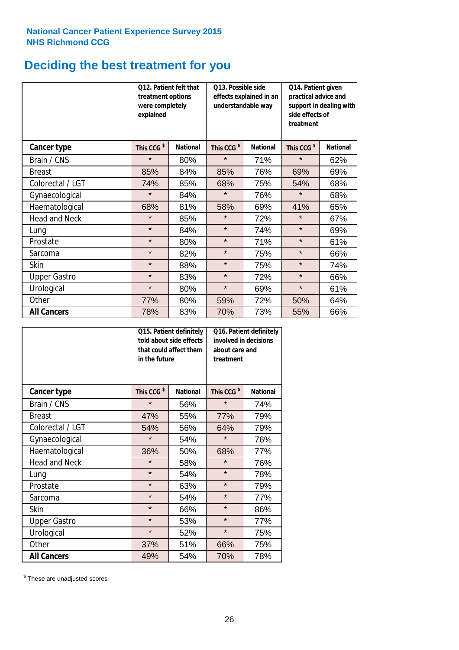## **Deciding the best treatment for you**

|                      | explained              | O13. Possible side<br>012. Patient felt that<br>treatment options<br>effects explained in an<br>were completely<br>understandable way |                        |                 | Q14. Patient given<br>practical advice and<br>side effects of<br>treatment | support in dealing with |
|----------------------|------------------------|---------------------------------------------------------------------------------------------------------------------------------------|------------------------|-----------------|----------------------------------------------------------------------------|-------------------------|
| <b>Cancer type</b>   | This CCG <sup>\$</sup> | <b>National</b>                                                                                                                       | This CCG <sup>\$</sup> | <b>National</b> | This CCG <sup>\$</sup>                                                     | <b>National</b>         |
| Brain / CNS          | $\star$                | 80%                                                                                                                                   | $\star$                | 71%             | $\star$                                                                    | 62%                     |
| <b>Breast</b>        | 85%                    | 84%                                                                                                                                   | 85%                    | 76%             | 69%                                                                        | 69%                     |
| Colorectal / LGT     | 74%                    | 85%                                                                                                                                   | 68%                    | 75%             |                                                                            | 68%                     |
| Gynaecological       | $\star$                | 84%                                                                                                                                   | $\star$<br>76%         |                 | $\star$                                                                    | 68%                     |
| Haematological       | 68%                    | 81%                                                                                                                                   | 58%                    | 69%             |                                                                            | 65%                     |
| <b>Head and Neck</b> | $\star$                | 85%                                                                                                                                   | $\star$                | 72%             | $\star$                                                                    | 67%                     |
| Lung                 | $\star$                | 84%                                                                                                                                   | $\star$                | 74%             | $\star$                                                                    | 69%                     |
| Prostate             | $\star$                | 80%                                                                                                                                   | $\star$                | 71%             | $\star$                                                                    | 61%                     |
| Sarcoma              | $\star$                | 82%                                                                                                                                   | $\star$                | 75%             | $\star$                                                                    | 66%                     |
| Skin                 | $\star$                | 88%                                                                                                                                   | $\star$                | 75%             | $\star$                                                                    | 74%                     |
| <b>Upper Gastro</b>  | $\star$                | 83%                                                                                                                                   | $\star$                | 72%             | $\star$                                                                    | 66%                     |
| Urological           | $\star$                | 80%                                                                                                                                   | $\star$                | 69%             |                                                                            | 61%                     |
| Other                | 77%                    | 80%                                                                                                                                   | 59%                    | 72%             | 50%                                                                        | 64%                     |
| <b>All Cancers</b>   | 78%                    | 83%                                                                                                                                   | 70%                    | 73%             | 55%                                                                        | 66%                     |

|                      | in the future          | Q15. Patient definitely<br>told about side effects<br>that could affect them | Q16. Patient definitely<br>involved in decisions<br>about care and<br>treatment |                 |  |
|----------------------|------------------------|------------------------------------------------------------------------------|---------------------------------------------------------------------------------|-----------------|--|
| <b>Cancer type</b>   | This CCG <sup>\$</sup> | <b>National</b>                                                              | This CCG <sup>\$</sup>                                                          | <b>National</b> |  |
| Brain / CNS          | $\star$                | 56%                                                                          | $\star$                                                                         | 74%             |  |
| <b>Breast</b>        | 47%                    | 55%                                                                          | 77%                                                                             | 79%             |  |
| Colorectal / LGT     | 54%                    | 56%                                                                          | 64%                                                                             | 79%             |  |
| Gynaecological       | $\star$<br>54%         |                                                                              | $\star$                                                                         | 76%             |  |
| Haematological       | 50%<br>36%             |                                                                              | 68%                                                                             | 77%             |  |
| <b>Head and Neck</b> | $\star$                | 58%                                                                          | $\star$                                                                         | 76%             |  |
| Lung                 | $\star$                | 54%                                                                          | $\star$                                                                         | 78%             |  |
| Prostate             | $\star$                | 63%                                                                          | $\star$                                                                         | 79%             |  |
| Sarcoma              | $\star$                | 54%                                                                          | $\star$                                                                         | 77%             |  |
| Skin                 | $\star$                | 66%                                                                          | $\star$                                                                         | 86%             |  |
| <b>Upper Gastro</b>  | $\star$                | 53%                                                                          | $\star$                                                                         | 77%             |  |
| Urological           | $\star$                | 52%                                                                          | $\star$                                                                         | 75%             |  |
| Other                | 37%                    | 51%                                                                          | 66%                                                                             | 75%             |  |
| <b>All Cancers</b>   | 49%                    | 54%                                                                          | 70%                                                                             | 78%             |  |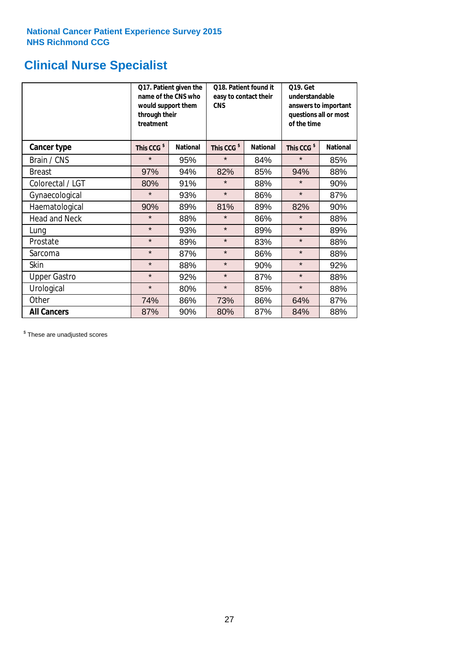### **Clinical Nurse Specialist**

|                      | would support them<br>through their<br>treatment | Q17. Patient given the<br>name of the CNS who | Q18. Patient found it<br>easy to contact their<br><b>CNS</b> |                 | <b>Q19. Get</b><br>understandable<br>of the time | answers to important<br>questions all or most |  |  |
|----------------------|--------------------------------------------------|-----------------------------------------------|--------------------------------------------------------------|-----------------|--------------------------------------------------|-----------------------------------------------|--|--|
| <b>Cancer type</b>   | This CCG <sup>\$</sup>                           | <b>National</b>                               | This CCG <sup>\$</sup>                                       | <b>National</b> | This CCG <sup>\$</sup>                           | <b>National</b>                               |  |  |
| Brain / CNS          | $\star$                                          | 95%                                           | $\star$                                                      | 84%             | $\star$                                          | 85%                                           |  |  |
| <b>Breast</b>        | 97%                                              | 94%                                           | 82%                                                          | 85%             | 94%                                              | 88%                                           |  |  |
| Colorectal / LGT     | 80%                                              | 91%                                           | $\star$                                                      | 88%             | $\star$                                          | 90%                                           |  |  |
| Gynaecological       | $\star$                                          | 93%                                           | $\star$                                                      | 86%             | $\star$                                          | 87%                                           |  |  |
| Haematological       | 90%                                              | 89%                                           | 81%                                                          | 89%             | 82%                                              | 90%                                           |  |  |
| <b>Head and Neck</b> | $\star$                                          | 88%                                           | $\star$                                                      | 86%             | $\star$                                          | 88%                                           |  |  |
| Lung                 | $\star$                                          | 93%                                           | $\star$                                                      | 89%             | $\star$                                          | 89%                                           |  |  |
| Prostate             | $\star$                                          | 89%                                           | $\star$                                                      | 83%             | $\star$                                          | 88%                                           |  |  |
| Sarcoma              | $\star$                                          | 87%                                           | $\star$                                                      | 86%             | $\star$                                          | 88%                                           |  |  |
| Skin                 | $\star$                                          | 88%                                           | $\star$                                                      | 90%             | $\star$                                          | 92%                                           |  |  |
| <b>Upper Gastro</b>  | $\star$                                          | 92%                                           | $\star$                                                      | 87%             | $\star$                                          | 88%                                           |  |  |
| Urological           | $\star$                                          | 80%                                           | $\star$                                                      | 85%             | $\star$                                          | 88%                                           |  |  |
| Other                | 74%                                              | 86%                                           | 73%                                                          | 86%             | 64%                                              | 87%                                           |  |  |
| <b>All Cancers</b>   | 87%                                              | 90%                                           | 80%                                                          | 87%             | 84%                                              | 88%                                           |  |  |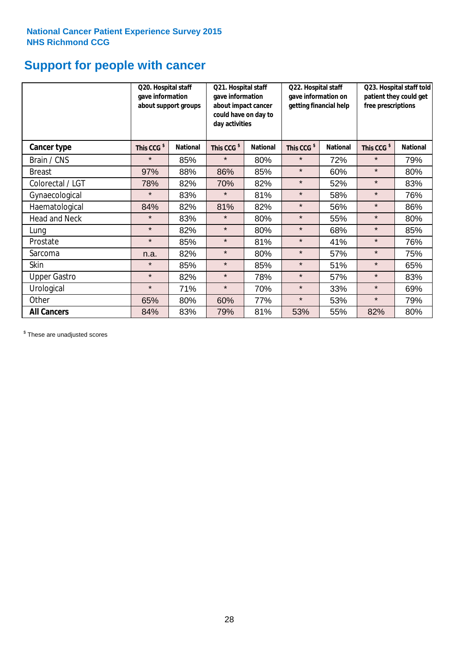### **Support for people with cancer**

|                      | Q20. Hospital staff<br>gave information | about support groups | Q21. Hospital staff<br>Q22. Hospital staff<br>gave information on<br>gave information<br>getting financial help<br>about impact cancer<br>could have on day to<br>day activities |                 |                        | Q23. Hospital staff told<br>patient they could get<br>free prescriptions |                        |                 |
|----------------------|-----------------------------------------|----------------------|----------------------------------------------------------------------------------------------------------------------------------------------------------------------------------|-----------------|------------------------|--------------------------------------------------------------------------|------------------------|-----------------|
| Cancer type          | This CCG <sup>\$</sup>                  | <b>National</b>      | This CCG <sup>\$</sup>                                                                                                                                                           | <b>National</b> | This CCG <sup>\$</sup> | <b>National</b>                                                          | This CCG <sup>\$</sup> | <b>National</b> |
| Brain / CNS          | $\star$                                 | 85%                  | $\star$                                                                                                                                                                          | 80%             | $\star$                | 72%                                                                      | $\star$                | 79%             |
| <b>Breast</b>        | 97%                                     | 88%                  | 86%                                                                                                                                                                              | 85%             | $\star$                | 60%                                                                      | $\star$                | 80%             |
| Colorectal / LGT     | 78%                                     | 82%                  | 70%                                                                                                                                                                              | 82%             | $\star$                | 52%                                                                      | $\star$                | 83%             |
| Gynaecological       | $\star$                                 | 83%                  | $\star$                                                                                                                                                                          | 81%             | $\star$                | 58%                                                                      | $\star$                | 76%             |
| Haematological       | 84%                                     | 82%                  | 81%                                                                                                                                                                              | 82%             | $\star$                | 56%                                                                      | $\star$                | 86%             |
| <b>Head and Neck</b> | $\star$                                 | 83%                  | $\star$                                                                                                                                                                          | 80%             | $\star$                | 55%                                                                      | $\star$                | 80%             |
| Lung                 | $\star$                                 | 82%                  | $\star$                                                                                                                                                                          | 80%             | $\star$                | 68%                                                                      | $\star$                | 85%             |
| Prostate             | $\star$                                 | 85%                  | $\star$                                                                                                                                                                          | 81%             | $\star$                | 41%                                                                      | $\star$                | 76%             |
| Sarcoma              | n.a.                                    | 82%                  | $\star$                                                                                                                                                                          | 80%             | $\star$                | 57%                                                                      | $\star$                | 75%             |
| Skin                 | $\star$                                 | 85%                  | $\star$                                                                                                                                                                          | 85%             | $\star$                | 51%                                                                      | $\star$                | 65%             |
| <b>Upper Gastro</b>  | $\star$                                 | 82%                  | $\star$                                                                                                                                                                          | 78%             | $\star$                | 57%                                                                      | $\star$                | 83%             |
| Urological           | $\star$                                 | 71%                  | $\star$                                                                                                                                                                          | 70%             | $\star$                | 33%                                                                      | $\star$                | 69%             |
| Other                | 65%                                     | 80%                  | 60%                                                                                                                                                                              | 77%             | $\star$                | 53%                                                                      | $\star$                | 79%             |
| <b>All Cancers</b>   | 84%                                     | 83%                  | 79%                                                                                                                                                                              | 81%             | 53%                    | 55%                                                                      | 82%                    | 80%             |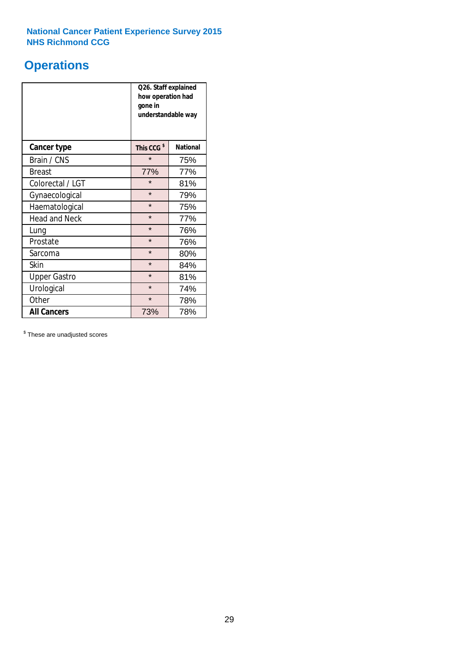### **Operations**

|                      | Q26. Staff explained<br>how operation had<br>gone in<br>understandable way |                 |  |  |
|----------------------|----------------------------------------------------------------------------|-----------------|--|--|
| <b>Cancer type</b>   | This CCG <sup>\$</sup>                                                     | <b>National</b> |  |  |
| Brain / CNS          | $\star$                                                                    | 75%             |  |  |
| <b>Breast</b>        | 77%                                                                        | 77%             |  |  |
| Colorectal / LGT     | $\star$                                                                    | 81%             |  |  |
| Gynaecological       | $\star$<br>79%                                                             |                 |  |  |
| Haematological       | $\star$<br>75%                                                             |                 |  |  |
| <b>Head and Neck</b> | $\star$                                                                    | 77%             |  |  |
| Lung                 | $\star$                                                                    | 76%             |  |  |
| Prostate             | $\star$                                                                    | 76%             |  |  |
| Sarcoma              | $\star$                                                                    | 80%             |  |  |
| Skin                 | $\star$                                                                    | 84%             |  |  |
| <b>Upper Gastro</b>  | $\star$                                                                    | 81%             |  |  |
| Urological           | $\star$                                                                    | 74%             |  |  |
| Other                | $\star$<br>78%                                                             |                 |  |  |
| <b>All Cancers</b>   | 73%                                                                        | 78%             |  |  |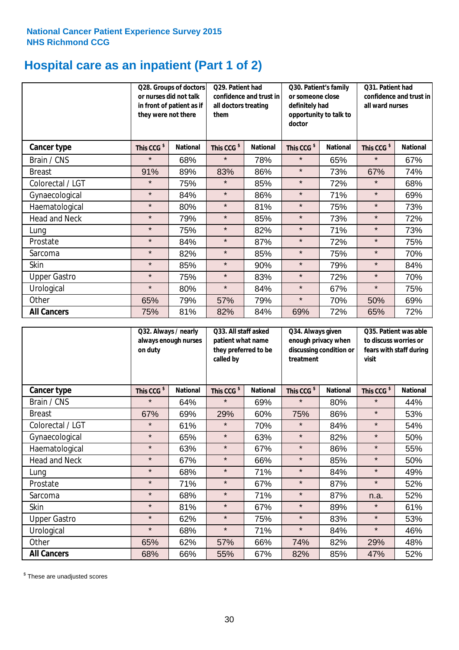## **Hospital care as an inpatient (Part 1 of 2)**

|                      | they were not there    | Q28. Groups of doctors<br>or nurses did not talk<br>in front of patient as if | Q29. Patient had<br>confidence and trust in<br>all doctors treating<br>them<br>doctor |                 | Q30. Patient's family<br>or someone close<br>definitely had<br>opportunity to talk to |                 | Q31. Patient had<br>confidence and trust in I<br>all ward nurses |                 |
|----------------------|------------------------|-------------------------------------------------------------------------------|---------------------------------------------------------------------------------------|-----------------|---------------------------------------------------------------------------------------|-----------------|------------------------------------------------------------------|-----------------|
| Cancer type          | This CCG <sup>\$</sup> | <b>National</b>                                                               | This CCG <sup>\$</sup>                                                                | <b>National</b> | This CCG <sup>\$</sup>                                                                | <b>National</b> | This CCG <sup>\$</sup>                                           | <b>National</b> |
| Brain / CNS          | $\star$                | 68%                                                                           | $\star$                                                                               | 78%             | $\star$                                                                               | 65%             | $\star$                                                          | 67%             |
| <b>Breast</b>        | 91%                    | 89%                                                                           | 83%                                                                                   | 86%             | $\star$                                                                               | 73%             | 67%                                                              | 74%             |
| Colorectal / LGT     | $\star$                | 75%                                                                           | $\star$                                                                               | 85%             | $\star$                                                                               | 72%             | $\star$                                                          | 68%             |
| Gynaecological       | $\star$                | 84%                                                                           | $\star$                                                                               | 86%             | $\star$                                                                               | 71%             | $\star$                                                          | 69%             |
| Haematological       | $\star$                | 80%                                                                           | $\star$                                                                               | 81%             | $\star$                                                                               | 75%             | $\star$                                                          | 73%             |
| <b>Head and Neck</b> | $\star$                | 79%                                                                           | $\star$                                                                               | 85%             | $\star$                                                                               | 73%             | $\star$                                                          | 72%             |
| Lung                 | $\star$                | 75%                                                                           | $\star$                                                                               | 82%             | $\star$                                                                               | 71%             | $\star$                                                          | 73%             |
| Prostate             | $\star$                | 84%                                                                           | $\star$                                                                               | 87%             | $\star$                                                                               | 72%             | $\star$                                                          | 75%             |
| Sarcoma              | $\star$                | 82%                                                                           | $\star$                                                                               | 85%             | $\star$                                                                               | 75%             | $\star$                                                          | 70%             |
| Skin                 | $\star$                | 85%                                                                           | $\star$                                                                               | 90%             | $\star$                                                                               | 79%             | $\star$                                                          | 84%             |
| <b>Upper Gastro</b>  | $\star$                | 75%                                                                           | $\star$                                                                               | 83%             | $\star$                                                                               | 72%             | $\star$                                                          | 70%             |
| Urological           | $\star$                | 80%                                                                           | $\star$                                                                               | 84%             | $\star$                                                                               | 67%             | $\star$                                                          | 75%             |
| Other                | 65%                    | 79%                                                                           | 57%                                                                                   | 79%             | $\star$                                                                               | 70%             | 50%                                                              | 69%             |
| <b>All Cancers</b>   | 75%                    | 81%                                                                           | 82%                                                                                   | 84%             | 69%                                                                                   | 72%             | 65%                                                              | 72%             |

|                      | Q32. Always / nearly<br>on duty | always enough nurses | Q33. All staff asked<br>patient what name<br>they preferred to be<br>called by |                 | Q34. Always given<br>treatment | enough privacy when<br>discussing condition or | Q35. Patient was able<br>to discuss worries or<br>fears with staff during<br>visit |                 |  |
|----------------------|---------------------------------|----------------------|--------------------------------------------------------------------------------|-----------------|--------------------------------|------------------------------------------------|------------------------------------------------------------------------------------|-----------------|--|
| <b>Cancer type</b>   | This CCG <sup>\$</sup>          | <b>National</b>      | This CCG <sup>\$</sup>                                                         | <b>National</b> | This CCG <sup>\$</sup>         | <b>National</b>                                | This CCG <sup>\$</sup>                                                             | <b>National</b> |  |
| Brain / CNS          | $\star$                         | 64%                  | $\star$                                                                        | 69%             | $\star$                        | 80%                                            | $\star$                                                                            | 44%             |  |
| <b>Breast</b>        | 67%                             | 69%                  | 29%                                                                            | 60%             | 75%                            | 86%                                            | $\star$                                                                            | 53%             |  |
| Colorectal / LGT     | $\star$                         | 61%                  | $\star$                                                                        | 70%             | $\star$                        | 84%                                            | $\star$                                                                            | 54%             |  |
| Gynaecological       | $\star$                         | 65%                  | $\star$                                                                        | 63%             | $\star$                        | 82%                                            | $\star$                                                                            | 50%             |  |
| Haematological       | $\star$                         | 63%                  | $\star$                                                                        | 67%             | $\star$                        | 86%                                            | $\star$                                                                            | 55%             |  |
| <b>Head and Neck</b> | $\star$                         | 67%                  | $\star$                                                                        | 66%             | $\star$                        | 85%                                            | $\star$                                                                            | 50%             |  |
| Lung                 | $\star$                         | 68%                  | $\star$                                                                        | 71%             | $\star$                        | 84%                                            | $\star$                                                                            | 49%             |  |
| Prostate             | $\star$                         | 71%                  | $\star$                                                                        | 67%             | $\star$                        | 87%                                            | $\star$                                                                            | 52%             |  |
| Sarcoma              | $\star$                         | 68%                  | $\star$                                                                        | 71%             | $\star$                        | 87%                                            | n.a.                                                                               | 52%             |  |
| Skin                 | $\star$                         | 81%                  | $\star$                                                                        | 67%             | $\star$                        | 89%                                            | $\star$                                                                            | 61%             |  |
| <b>Upper Gastro</b>  | $\star$                         | 62%                  | $\star$                                                                        | 75%             | $\star$                        | 83%                                            | $\star$                                                                            | 53%             |  |
| Urological           | $\star$                         | 68%                  | $\star$                                                                        | 71%             | $\star$                        | 84%                                            | $\star$                                                                            | 46%             |  |
| Other                | 65%                             | 62%                  | 57%                                                                            | 66%             | 74%                            | 82%                                            | 29%                                                                                | 48%             |  |
| <b>All Cancers</b>   | 68%                             | 66%                  | 55%                                                                            | 67%             | 82%                            | 85%                                            | 47%                                                                                | 52%             |  |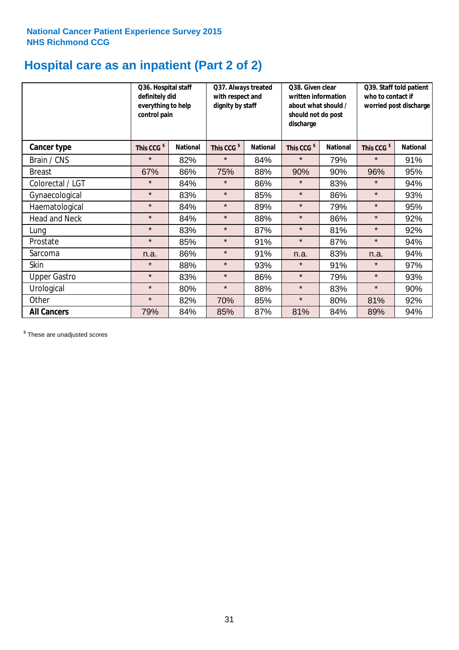## **Hospital care as an inpatient (Part 2 of 2)**

|                      | Q36. Hospital staff<br>definitely did<br>everything to help<br>control pain |                 | Q37. Always treated<br>Q38. Given clear<br>with respect and<br>written information<br>dignity by staff<br>about what should /<br>should not do post<br>discharge |                 |                        | Q39. Staff told patient<br>who to contact if<br>worried post discharge |                        |                 |
|----------------------|-----------------------------------------------------------------------------|-----------------|------------------------------------------------------------------------------------------------------------------------------------------------------------------|-----------------|------------------------|------------------------------------------------------------------------|------------------------|-----------------|
| Cancer type          | This CCG <sup>\$</sup>                                                      | <b>National</b> | This CCG <sup>\$</sup>                                                                                                                                           | <b>National</b> | This CCG <sup>\$</sup> | <b>National</b>                                                        | This CCG <sup>\$</sup> | <b>National</b> |
| Brain / CNS          | $\star$                                                                     | 82%             | $\star$                                                                                                                                                          | 84%             | $\star$                | 79%                                                                    | $\star$                | 91%             |
| <b>Breast</b>        | 67%                                                                         | 86%             | 75%                                                                                                                                                              | 88%             | 90%                    | 90%                                                                    | 96%                    | 95%             |
| Colorectal / LGT     | $\star$                                                                     | 84%             | $\star$                                                                                                                                                          | 86%             | $\star$                | 83%                                                                    | $\star$                | 94%             |
| Gynaecological       | $\star$                                                                     | 83%             | $\star$                                                                                                                                                          | 85%             | $\star$                | 86%                                                                    | $\star$                | 93%             |
| Haematological       | $\star$                                                                     | 84%             | $\star$                                                                                                                                                          | 89%             | $\star$                | 79%                                                                    | $\star$                | 95%             |
| <b>Head and Neck</b> | $\star$                                                                     | 84%             | $\star$                                                                                                                                                          | 88%             | $\star$                | 86%                                                                    | $\star$                | 92%             |
| Lung                 | $\star$                                                                     | 83%             | $\star$                                                                                                                                                          | 87%             | $\star$                | 81%                                                                    | $\star$                | 92%             |
| Prostate             | $\star$                                                                     | 85%             | $\star$                                                                                                                                                          | 91%             | $\star$                | 87%                                                                    | $\star$                | 94%             |
| Sarcoma              | n.a.                                                                        | 86%             | $\star$                                                                                                                                                          | 91%             | n.a.                   | 83%                                                                    | n.a.                   | 94%             |
| Skin                 | $\star$                                                                     | 88%             | $\star$                                                                                                                                                          | 93%             | $\star$                | 91%                                                                    | $\star$                | 97%             |
| <b>Upper Gastro</b>  | $\star$                                                                     | 83%             | $\star$                                                                                                                                                          | 86%             | $\star$                | 79%                                                                    | $\star$                | 93%             |
| Urological           | $\star$                                                                     | 80%             | $\star$                                                                                                                                                          | 88%             | $\star$                | 83%                                                                    | $\star$                | 90%             |
| Other                | $\star$                                                                     | 82%             | 70%                                                                                                                                                              | 85%             | $\star$                | 80%                                                                    | 81%                    | 92%             |
| <b>All Cancers</b>   | 79%                                                                         | 84%             | 85%                                                                                                                                                              | 87%             | 81%                    | 84%                                                                    | 89%                    | 94%             |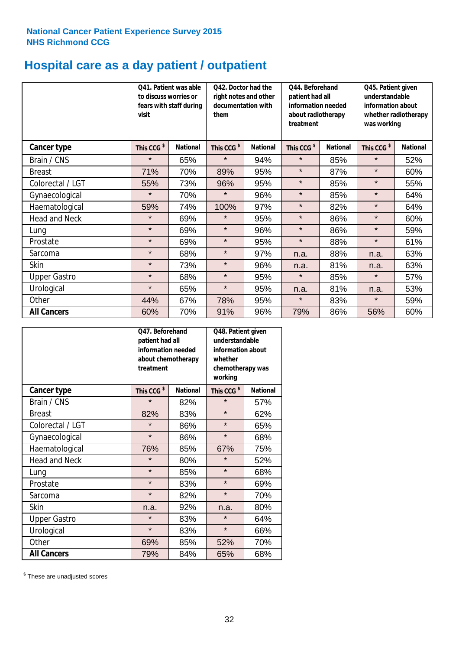## **Hospital care as a day patient / outpatient**

|                      | to discuss worries or<br>visit | Q41. Patient was able<br>fears with staff during | Q42. Doctor had the<br>Q44. Beforehand<br>right notes and other<br>patient had all<br>documentation with<br>information needed<br>about radiotherapy<br>them<br>treatment |                 |                        | Q45. Patient given<br>understandable<br>information about<br>whether radiotherapy<br>was working |                        |                 |
|----------------------|--------------------------------|--------------------------------------------------|---------------------------------------------------------------------------------------------------------------------------------------------------------------------------|-----------------|------------------------|--------------------------------------------------------------------------------------------------|------------------------|-----------------|
| <b>Cancer type</b>   | This CCG <sup>\$</sup>         | <b>National</b>                                  | This CCG <sup>\$</sup>                                                                                                                                                    | <b>National</b> | This CCG <sup>\$</sup> | <b>National</b>                                                                                  | This CCG <sup>\$</sup> | <b>National</b> |
| Brain / CNS          | $\star$                        | 65%                                              | $\star$                                                                                                                                                                   | 94%             | $\star$                | 85%                                                                                              | $\star$                | 52%             |
| <b>Breast</b>        | 71%                            | 70%                                              | 89%                                                                                                                                                                       | 95%             | $\star$                | 87%                                                                                              | $\star$                | 60%             |
| Colorectal / LGT     | 55%                            | 73%                                              | 96%                                                                                                                                                                       | 95%             | $\star$                | 85%                                                                                              | $\star$                | 55%             |
| Gynaecological       | $\star$                        | 70%                                              | $\star$                                                                                                                                                                   | 96%             | $\star$                | 85%                                                                                              | $\star$                | 64%             |
| Haematological       | 59%                            | 74%                                              | 100%                                                                                                                                                                      | 97%             | $\star$                | 82%                                                                                              | $\star$                | 64%             |
| <b>Head and Neck</b> | $\star$                        | 69%                                              | $\star$                                                                                                                                                                   | 95%             | $\star$                | 86%                                                                                              | $\star$                | 60%             |
| Lung                 | $\star$                        | 69%                                              | $\star$                                                                                                                                                                   | 96%             | $\star$                | 86%                                                                                              | $\star$                | 59%             |
| Prostate             | $\star$                        | 69%                                              | $\star$                                                                                                                                                                   | 95%             | $\star$                | 88%                                                                                              | $\star$                | 61%             |
| Sarcoma              | $\star$                        | 68%                                              | $\star$                                                                                                                                                                   | 97%             | n.a.                   | 88%                                                                                              | n.a.                   | 63%             |
| Skin                 | $\star$                        | 73%                                              | $\star$                                                                                                                                                                   | 96%             | n.a.                   | 81%                                                                                              | n.a.                   | 63%             |
| <b>Upper Gastro</b>  | $\star$                        | 68%                                              | $\star$                                                                                                                                                                   | 95%             | $\star$                | 85%                                                                                              | $\star$                | 57%             |
| Urological           | $\star$                        | 65%                                              | $\star$                                                                                                                                                                   | 95%             | n.a.                   | 81%                                                                                              | n.a.                   | 53%             |
| Other                | 44%                            | 67%                                              | 78%                                                                                                                                                                       | 95%             | $\star$                | 83%                                                                                              | $\star$                | 59%             |
| <b>All Cancers</b>   | 60%                            | 70%                                              | 91%                                                                                                                                                                       | 96%             | 79%                    | 86%                                                                                              | 56%                    | 60%             |

|                      | Q47. Beforehand<br>patient had all<br>information needed<br>about chemotherapy<br>treatment |                 | Q48. Patient given<br>understandable<br>information about<br>whether<br>chemotherapy was<br>working |                 |  |
|----------------------|---------------------------------------------------------------------------------------------|-----------------|-----------------------------------------------------------------------------------------------------|-----------------|--|
| <b>Cancer type</b>   | This CCG <sup>\$</sup>                                                                      | <b>National</b> | This CCG <sup>\$</sup>                                                                              | <b>National</b> |  |
| Brain / CNS          | $\star$                                                                                     | 82%             | $\star$                                                                                             | 57%             |  |
| <b>Breast</b>        | 82%                                                                                         | 83%             | $\star$                                                                                             | 62%             |  |
| Colorectal / LGT     | $\star$                                                                                     | 86%             | $\star$                                                                                             | 65%             |  |
| Gynaecological       | $\star$                                                                                     | 86%             | $\star$                                                                                             | 68%             |  |
| Haematological       | 76%                                                                                         | 85%             |                                                                                                     | 75%             |  |
| <b>Head and Neck</b> | $\star$                                                                                     | 80%             | $\star$                                                                                             | 52%             |  |
| Lung                 | $\star$                                                                                     | 85%             | $\star$                                                                                             | 68%             |  |
| Prostate             | $\star$                                                                                     | 83%             | $\star$                                                                                             | 69%             |  |
| Sarcoma              | $\star$                                                                                     | 82%             | $\star$                                                                                             | 70%             |  |
| <b>Skin</b>          | n.a.                                                                                        | 92%             | n.a.                                                                                                | 80%             |  |
| <b>Upper Gastro</b>  | $\star$                                                                                     | 83%             | $\star$                                                                                             | 64%             |  |
| Urological           | $\star$                                                                                     | 83%             | $\star$                                                                                             | 66%             |  |
| Other                | 69%                                                                                         | 85%             | 52%                                                                                                 | 70%             |  |
| <b>All Cancers</b>   | 79%                                                                                         | 84%             | 65%                                                                                                 | 68%             |  |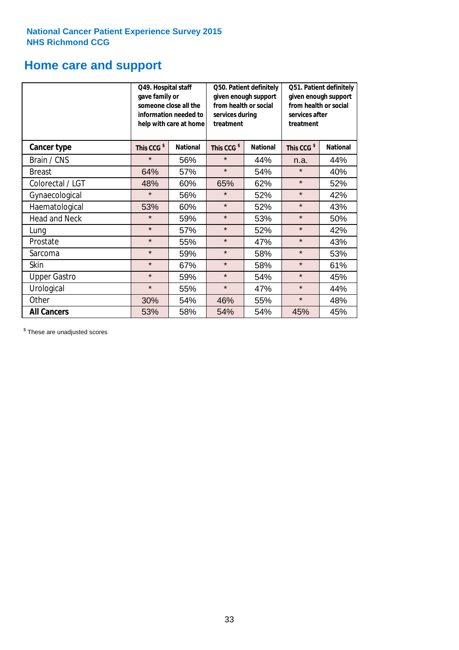# **Home care and support**

|                      | Q49. Hospital staff<br>gave family or | someone close all the<br>information needed to<br>help with care at home | from health or social<br>services during<br>treatment | Q50. Patient definitely<br>given enough support | Q51. Patient definitely<br>given enough support<br>from health or social<br>services after<br>treatment |                 |  |
|----------------------|---------------------------------------|--------------------------------------------------------------------------|-------------------------------------------------------|-------------------------------------------------|---------------------------------------------------------------------------------------------------------|-----------------|--|
| <b>Cancer type</b>   | This CCG <sup>\$</sup>                | <b>National</b>                                                          | This CCG <sup>\$</sup>                                | <b>National</b>                                 | This CCG <sup>\$</sup>                                                                                  | <b>National</b> |  |
| Brain / CNS          | $\star$                               | 56%                                                                      | $\star$                                               | 44%                                             | n.a.                                                                                                    | 44%             |  |
| <b>Breast</b>        | 64%                                   | 57%                                                                      | $\star$                                               | 54%                                             | $\star$                                                                                                 | 40%             |  |
| Colorectal / LGT     | 48%                                   | 60%                                                                      | 65%                                                   | 62%                                             | $\star$                                                                                                 | 52%             |  |
| Gynaecological       | $\star$                               | 56%                                                                      | $\star$                                               | 52%                                             | $\star$                                                                                                 | 42%             |  |
| Haematological       | 53%                                   | 60%                                                                      | $\star$                                               | 52%                                             | $\star$                                                                                                 | 43%             |  |
| <b>Head and Neck</b> | $\star$                               | 59%                                                                      | $\star$                                               | 53%                                             | $\star$                                                                                                 | 50%             |  |
| Lung                 | $\star$                               | 57%                                                                      | $\star$                                               | 52%                                             | $\star$                                                                                                 | 42%             |  |
| Prostate             | $\star$                               | 55%                                                                      | $\star$                                               | 47%                                             | $\star$                                                                                                 | 43%             |  |
| Sarcoma              | $\star$                               | 59%                                                                      | $\star$                                               | 58%                                             | $\star$                                                                                                 | 53%             |  |
| Skin                 | $\star$                               | 67%                                                                      | $\star$                                               | 58%                                             | $\star$                                                                                                 | 61%             |  |
| <b>Upper Gastro</b>  | $\star$                               | 59%                                                                      | $\star$                                               | 54%                                             | $\star$                                                                                                 | 45%             |  |
| Urological           | $\star$                               | 55%                                                                      | $\star$                                               | 47%                                             | $\star$                                                                                                 | 44%             |  |
| Other                | 30%                                   | 54%                                                                      | 46%                                                   | 55%                                             | $\star$                                                                                                 | 48%             |  |
| <b>All Cancers</b>   | 53%                                   | 58%                                                                      | 54%                                                   | 54%                                             | 45%                                                                                                     | 45%             |  |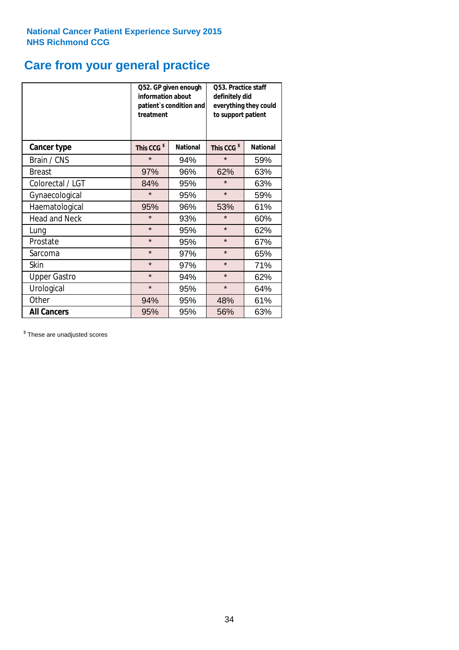### **Care from your general practice**

|                      | information about<br>treatment | Q52. GP given enough<br>patient's condition and | <b>O53. Practice staff</b><br>definitely did<br>everything they could<br>to support patient |                 |  |
|----------------------|--------------------------------|-------------------------------------------------|---------------------------------------------------------------------------------------------|-----------------|--|
| <b>Cancer type</b>   | This CCG <sup>\$</sup>         | <b>National</b>                                 | This CCG <sup>\$</sup>                                                                      | <b>National</b> |  |
| Brain / CNS          | $\star$                        | 94%                                             | $\star$                                                                                     | 59%             |  |
| <b>Breast</b>        | 97%                            | 96%                                             | 62%                                                                                         | 63%             |  |
| Colorectal / LGT     | 84%                            | 95%                                             | $\star$                                                                                     | 63%             |  |
| Gynaecological       | $\star$                        | 95%                                             | $\star$                                                                                     | 59%             |  |
| Haematological       | 95%                            | 96%                                             |                                                                                             | 61%             |  |
| <b>Head and Neck</b> | $\star$                        | 93%                                             | $\star$                                                                                     | 60%             |  |
| Lung                 | $\star$                        | 95%                                             | $\star$                                                                                     | 62%             |  |
| Prostate             | $\star$                        | 95%                                             | $\star$                                                                                     | 67%             |  |
| Sarcoma              | $\star$                        | 97%                                             | $\star$                                                                                     | 65%             |  |
| Skin                 | $\star$                        | 97%                                             | $\star$                                                                                     | 71%             |  |
| <b>Upper Gastro</b>  | $\star$                        | 94%                                             | $\star$                                                                                     | 62%             |  |
| Urological           | $\star$                        | 95%                                             | $\star$                                                                                     | 64%             |  |
| Other                | 94%                            | 95%                                             | 48%                                                                                         | 61%             |  |
| <b>All Cancers</b>   | 95%                            | 95%                                             | 56%                                                                                         | 63%             |  |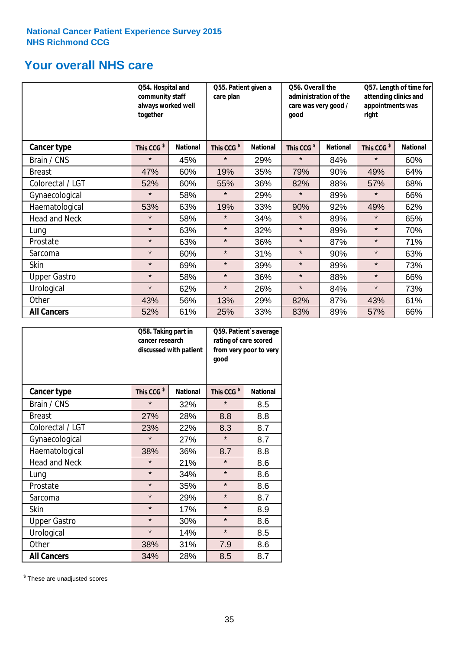### **Your overall NHS care**

|                      | Q54. Hospital and<br>community staff<br>always worked well<br>together |                 | Q55. Patient given a<br>care plan |                 | Q56. Overall the<br>administration of the<br>care was very good /<br>qood |                 | Q57. Length of time for<br>attending clinics and<br>appointments was<br>right |                 |
|----------------------|------------------------------------------------------------------------|-----------------|-----------------------------------|-----------------|---------------------------------------------------------------------------|-----------------|-------------------------------------------------------------------------------|-----------------|
| Cancer type          | This CCG <sup>\$</sup>                                                 | <b>National</b> | This CCG <sup>\$</sup>            | <b>National</b> | This CCG <sup>\$</sup>                                                    | <b>National</b> | This CCG <sup>\$</sup>                                                        | <b>National</b> |
| Brain / CNS          | $\star$                                                                | 45%             | $\star$                           | 29%             | $\star$                                                                   | 84%             | $\star$                                                                       | 60%             |
| <b>Breast</b>        | 47%                                                                    | 60%             | 19%                               | 35%             | 79%                                                                       | 90%             | 49%                                                                           | 64%             |
| Colorectal / LGT     | 52%                                                                    | 60%             | 55%                               | 36%             | 82%                                                                       | 88%             | 57%                                                                           | 68%             |
| Gynaecological       | $\star$                                                                | 58%             | $\star$                           | 29%             | $\star$                                                                   | 89%             | $\star$                                                                       | 66%             |
| Haematological       | 53%                                                                    | 63%             | 19%                               | 33%             | 90%                                                                       | 92%             | 49%                                                                           | 62%             |
| <b>Head and Neck</b> | $\star$                                                                | 58%             | $\star$                           | 34%             | $\star$                                                                   | 89%             | $\star$                                                                       | 65%             |
| Lung                 | $\star$                                                                | 63%             | $\star$                           | 32%             | $\star$                                                                   | 89%             | $\star$                                                                       | 70%             |
| Prostate             | $\star$                                                                | 63%             | $\star$                           | 36%             | $\star$                                                                   | 87%             | $\star$                                                                       | 71%             |
| Sarcoma              | $\star$                                                                | 60%             | $\star$                           | 31%             | $\star$                                                                   | 90%             | $\star$                                                                       | 63%             |
| Skin                 | $\star$                                                                | 69%             | $\star$                           | 39%             | $\star$                                                                   | 89%             | $\star$                                                                       | 73%             |
| <b>Upper Gastro</b>  | $\star$                                                                | 58%             | $\star$                           | 36%             | $\star$                                                                   | 88%             | $\star$                                                                       | 66%             |
| Urological           | $\star$                                                                | 62%             | $\star$                           | 26%             | $\star$                                                                   | 84%             | $\star$                                                                       | 73%             |
| Other                | 43%                                                                    | 56%             | 13%                               | 29%             | 82%                                                                       | 87%             | 43%                                                                           | 61%             |
| <b>All Cancers</b>   | 52%                                                                    | 61%             | 25%                               | 33%             | 83%                                                                       | 89%             | 57%                                                                           | 66%             |

|                      | Q58. Taking part in<br>cancer research | discussed with patient | Q59. Patient's average<br>rating of care scored<br>from very poor to very<br>good |                 |  |
|----------------------|----------------------------------------|------------------------|-----------------------------------------------------------------------------------|-----------------|--|
| <b>Cancer type</b>   | This CCG <sup>\$</sup>                 | <b>National</b>        | This CCG <sup>\$</sup>                                                            | <b>National</b> |  |
| Brain / CNS          | $\star$                                | 32%                    | $\star$                                                                           | 8.5             |  |
| <b>Breast</b>        | 27%                                    | 28%                    | 8.8                                                                               | 8.8             |  |
| Colorectal / LGT     | 23%                                    | 22%                    | 8.3                                                                               | 8.7             |  |
| Gynaecological       | $\star$                                | 27%                    | $\star$                                                                           | 8.7             |  |
| Haematological       | 38%                                    | 36%                    | 8.7                                                                               | 8.8             |  |
| <b>Head and Neck</b> | $\star$                                | 21%                    | $\star$                                                                           | 8.6             |  |
| Lung                 | $\star$                                | 34%                    | $\star$                                                                           | 8.6             |  |
| Prostate             | $\star$                                | 35%                    | $\star$                                                                           | 8.6             |  |
| Sarcoma              | $\star$                                | 29%                    | $\star$                                                                           | 8.7             |  |
| Skin                 | $\star$                                | 17%                    | $\star$                                                                           | 8.9             |  |
| <b>Upper Gastro</b>  | $\star$                                | 30%                    | $\star$                                                                           | 8.6             |  |
| Urological           | $\star$                                | 14%                    | $\star$                                                                           | 8.5             |  |
| Other                | 38%                                    | 31%                    | 7.9                                                                               | 8.6             |  |
| <b>All Cancers</b>   | 34%                                    | 28%                    | 8.5                                                                               | 8.7             |  |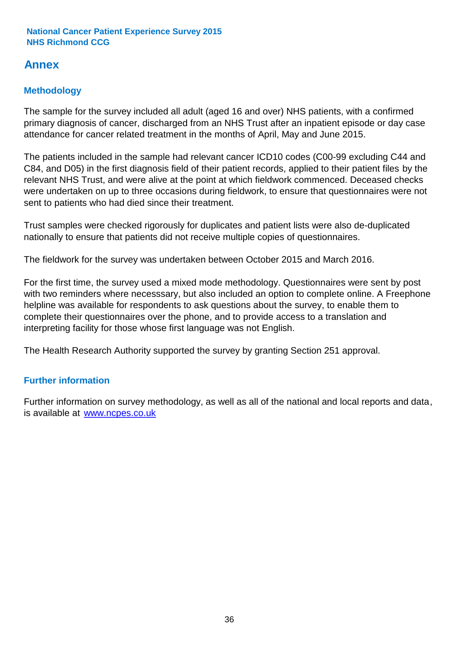### **Annex**

### **Methodology**

The sample for the survey included all adult (aged 16 and over) NHS patients, with a confirmed primary diagnosis of cancer, discharged from an NHS Trust after an inpatient episode or day case attendance for cancer related treatment in the months of April, May and June 2015.

The patients included in the sample had relevant cancer ICD10 codes (C00-99 excluding C44 and C84, and D05) in the first diagnosis field of their patient records, applied to their patient files by the relevant NHS Trust, and were alive at the point at which fieldwork commenced. Deceased checks were undertaken on up to three occasions during fieldwork, to ensure that questionnaires were not sent to patients who had died since their treatment.

Trust samples were checked rigorously for duplicates and patient lists were also de-duplicated nationally to ensure that patients did not receive multiple copies of questionnaires.

The fieldwork for the survey was undertaken between October 2015 and March 2016.

For the first time, the survey used a mixed mode methodology. Questionnaires were sent by post with two reminders where necesssary, but also included an option to complete online. A Freephone helpline was available for respondents to ask questions about the survey, to enable them to complete their questionnaires over the phone, and to provide access to a translation and interpreting facility for those whose first language was not English.

The Health Research Authority supported the survey by granting Section 251 approval.

#### **Further information**

Further information on survey methodology, as well as all of the national and local reports and data, is available at www.ncpes.co.uk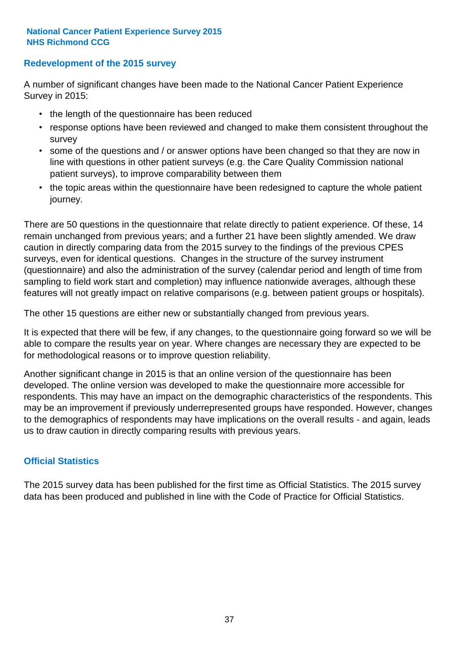#### **Redevelopment of the 2015 survey**

A number of significant changes have been made to the National Cancer Patient Experience Survey in 2015:

- the length of the questionnaire has been reduced
- response options have been reviewed and changed to make them consistent throughout the survey
- some of the questions and / or answer options have been changed so that they are now in line with questions in other patient surveys (e.g. the Care Quality Commission national patient surveys), to improve comparability between them
- the topic areas within the questionnaire have been redesigned to capture the whole patient journey.

There are 50 questions in the questionnaire that relate directly to patient experience. Of these, 14 remain unchanged from previous years; and a further 21 have been slightly amended. We draw caution in directly comparing data from the 2015 survey to the findings of the previous CPES surveys, even for identical questions. Changes in the structure of the survey instrument (questionnaire) and also the administration of the survey (calendar period and length of time from sampling to field work start and completion) may influence nationwide averages, although these features will not greatly impact on relative comparisons (e.g. between patient groups or hospitals).

The other 15 questions are either new or substantially changed from previous years.

It is expected that there will be few, if any changes, to the questionnaire going forward so we will be able to compare the results year on year. Where changes are necessary they are expected to be for methodological reasons or to improve question reliability.

Another significant change in 2015 is that an online version of the questionnaire has been developed. The online version was developed to make the questionnaire more accessible for respondents. This may have an impact on the demographic characteristics of the respondents. This may be an improvement if previously underrepresented groups have responded. However, changes to the demographics of respondents may have implications on the overall results - and again, leads us to draw caution in directly comparing results with previous years.

#### **Official Statistics**

The 2015 survey data has been published for the first time as Official Statistics. The 2015 survey data has been produced and published in line with the Code of Practice for Official Statistics.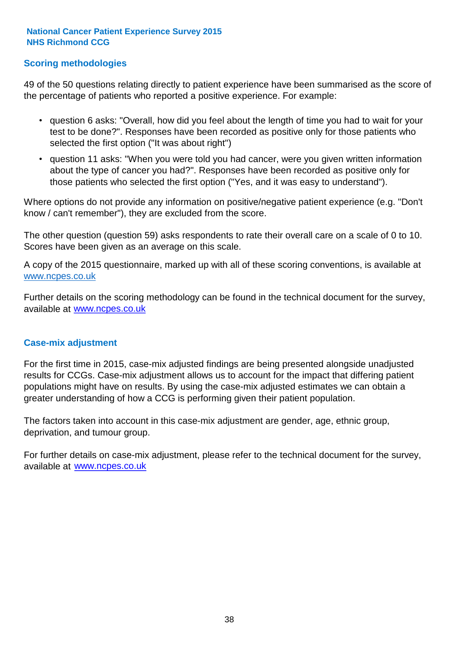#### **Scoring methodologies**

49 of the 50 questions relating directly to patient experience have been summarised as the score of the percentage of patients who reported a positive experience. For example:

- question 6 asks: "Overall, how did you feel about the length of time you had to wait for your test to be done?". Responses have been recorded as positive only for those patients who selected the first option ("It was about right")
- question 11 asks: "When you were told you had cancer, were you given written information about the type of cancer you had?". Responses have been recorded as positive only for those patients who selected the first option ("Yes, and it was easy to understand").

Where options do not provide any information on positive/negative patient experience (e.g. "Don't know / can't remember"), they are excluded from the score.

The other question (question 59) asks respondents to rate their overall care on a scale of 0 to 10. Scores have been given as an average on this scale.

A copy of the 2015 questionnaire, marked up with all of these scoring conventions, is available at www.ncpes.co.uk

Further details on the scoring methodology can be found in the technical document for the survey, available at <u>www.ncpes.co.uk</u>

#### **Case-mix adjustment**

For the first time in 2015, case-mix adjusted findings are being presented alongside unadjusted results for CCGs. Case-mix adjustment allows us to account for the impact that differing patient populations might have on results. By using the case-mix adjusted estimates we can obtain a greater understanding of how a CCG is performing given their patient population.

The factors taken into account in this case-mix adjustment are gender, age, ethnic group, deprivation, and tumour group.

For further details on case-mix adjustment, please refer to the technical document for the survey, available at www.ncpes.co.uk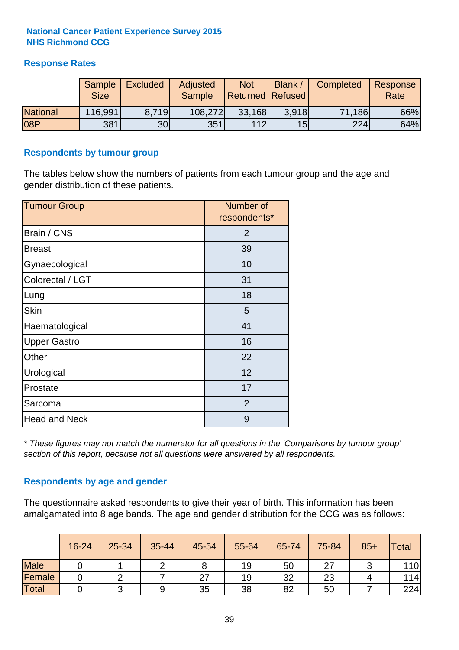#### **Response Rates**

|                 | <b>Sample</b><br><b>Size</b> | <b>Excluded</b> | Adjusted<br><b>Sample</b> | <b>Not</b><br><b>Returned Refused</b> | <b>Blank</b>    | Completed | Response<br>Rate |
|-----------------|------------------------------|-----------------|---------------------------|---------------------------------------|-----------------|-----------|------------------|
| <b>National</b> | 116,991                      | 8.719           | 108,272                   | 33,168                                | 3.918           | 71,186    | 66%              |
| 08P             | 381                          | 30 <sup>1</sup> | 351                       | 112                                   | 15 <sup>1</sup> | 224       | 64%              |

#### **Respondents by tumour group**

The tables below show the numbers of patients from each tumour group and the age and gender distribution of these patients.

| <b>Tumour Group</b>  | Number of<br>respondents* |
|----------------------|---------------------------|
| Brain / CNS          | $\overline{2}$            |
| <b>Breast</b>        | 39                        |
| Gynaecological       | 10                        |
| Colorectal / LGT     | 31                        |
| Lung                 | 18                        |
| <b>Skin</b>          | 5                         |
| Haematological       | 41                        |
| <b>Upper Gastro</b>  | 16                        |
| Other                | 22                        |
| Urological           | 12                        |
| Prostate             | 17                        |
| Sarcoma              | $\overline{2}$            |
| <b>Head and Neck</b> | 9                         |

*\* These figures may not match the numerator for all questions in the 'Comparisons by tumour group' section of this report, because not all questions were answered by all respondents.*

#### **Respondents by age and gender**

The questionnaire asked respondents to give their year of birth. This information has been amalgamated into 8 age bands. The age and gender distribution for the CCG was as follows:

|             | 16-24 | 25-34 | 35-44 | 45-54 | 55-64 | 65-74 | 75-84 | $85+$ | <b>Total</b> |
|-------------|-------|-------|-------|-------|-------|-------|-------|-------|--------------|
| <b>Male</b> |       |       |       |       | 19    | 50    | ~~    |       | 110          |
| Female      |       |       |       | 27    | 19    | 32    | 23    |       | 114          |
| Total       |       |       |       | 35    | 38    | 82    | 50    |       | 224          |